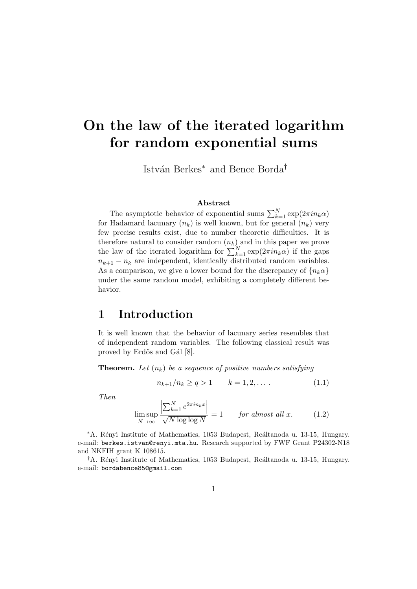# **On the law of the iterated logarithm for random exponential sums**

Istv´an Berkes*<sup>∗</sup>* and Bence Borda*†*

#### **Abstract**

The asymptotic behavior of exponential sums  $\sum_{k=1}^{N} \exp(2\pi i n_k \alpha)$ for Hadamard lacunary  $(n_k)$  is well known, but for general  $(n_k)$  very few precise results exist, due to number theoretic difficulties. It is therefore natural to consider random  $(n_k)$  and in this paper we prove the law of the iterated logarithm for  $\sum_{k=1}^{N} \exp(2\pi i n_k \alpha)$  if the gaps  $n_{k+1} - n_k$  are independent, identically distributed random variables. As a comparison, we give a lower bound for the discrepancy of  ${n_k \alpha}$ under the same random model, exhibiting a completely different behavior.

# **1 Introduction**

It is well known that the behavior of lacunary series resembles that of independent random variables. The following classical result was proved by Erdős and Gál [8].

**Theorem.** *Let* (*nk*) *be a sequence of positive numbers satisfying*

$$
n_{k+1}/n_k \ge q > 1 \qquad k = 1, 2, \dots \tag{1.1}
$$

*Then*

$$
\limsup_{N \to \infty} \frac{\left| \sum_{k=1}^{N} e^{2\pi i n_k x} \right|}{\sqrt{N \log \log N}} = 1 \quad \text{for almost all } x. \quad (1.2)
$$

*<sup>\*</sup>A.* Rényi Institute of Mathematics, 1053 Budapest, Reáltanoda u. 13-15, Hungary. e-mail: berkes.istvan@renyi.mta.hu. Research supported by FWF Grant P24302-N18 and NKFIH grant K 108615.

<sup>&</sup>lt;sup>†</sup>A. Rényi Institute of Mathematics, 1053 Budapest, Reáltanoda u. 13-15, Hungary. e-mail: bordabence85@gmail.com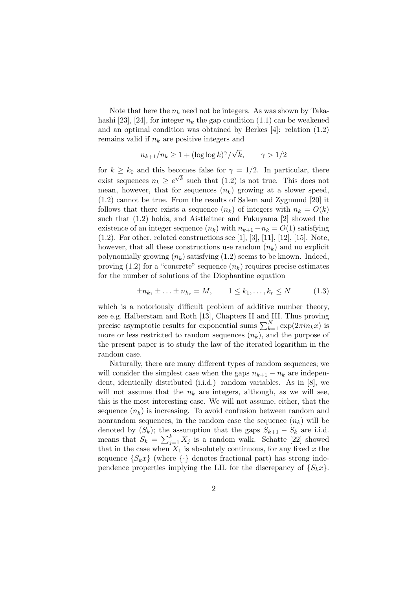Note that here the  $n_k$  need not be integers. As was shown by Takahashi [23], [24], for integer  $n_k$  the gap condition (1.1) can be weakened and an optimal condition was obtained by Berkes [4]: relation (1.2) remains valid if *n<sup>k</sup>* are positive integers and

$$
n_{k+1}/n_k \ge 1 + (\log \log k)^{\gamma}/\sqrt{k}, \qquad \gamma > 1/2
$$

for  $k \geq k_0$  and this becomes false for  $\gamma = 1/2$ . In particular, there exist sequences  $n_k \geq e^{\sqrt{k}}$  such that (1.2) is not true. This does not mean, however, that for sequences  $(n_k)$  growing at a slower speed, (1.2) cannot be true. From the results of Salem and Zygmund [20] it follows that there exists a sequence  $(n_k)$  of integers with  $n_k = O(k)$ such that (1.2) holds, and Aistleitner and Fukuyama [2] showed the existence of an integer sequence  $(n_k)$  with  $n_{k+1} - n_k = O(1)$  satisfying  $(1.2)$ . For other, related constructions see [1], [3], [11], [12], [15]. Note, however, that all these constructions use random  $(n_k)$  and no explicit polynomially growing  $(n_k)$  satisfying  $(1.2)$  seems to be known. Indeed, proving  $(1.2)$  for a "concrete" sequence  $(n_k)$  requires precise estimates for the number of solutions of the Diophantine equation

$$
\pm n_{k_1} \pm \ldots \pm n_{k_r} = M, \qquad 1 \le k_1, \ldots, k_r \le N \tag{1.3}
$$

which is a notoriously difficult problem of additive number theory, see e.g. Halberstam and Roth [13], Chapters II and III. Thus proving precise asymptotic results for exponential sums  $\sum_{k=1}^{N} \exp(2\pi i n_k x)$  is more or less restricted to random sequences  $(n_k)$ , and the purpose of the present paper is to study the law of the iterated logarithm in the random case.

Naturally, there are many different types of random sequences; we will consider the simplest case when the gaps  $n_{k+1} - n_k$  are independent, identically distributed (i.i.d.) random variables. As in [8], we will not assume that the  $n_k$  are integers, although, as we will see, this is the most interesting case. We will not assume, either, that the sequence  $(n_k)$  is increasing. To avoid confusion between random and nonrandom sequences, in the random case the sequence  $(n_k)$  will be denoted by  $(S_k)$ ; the assumption that the gaps  $S_{k+1} - S_k$  are i.i.d. means that  $S_k = \sum_{j=1}^k X_j$  is a random walk. Schatte [22] showed that in the case when  $X_1$  is absolutely continuous, for any fixed x the sequence  ${S_kx}$  (where  ${\cdot}$  denotes fractional part) has strong independence properties implying the LIL for the discrepancy of  ${S_kx}$ .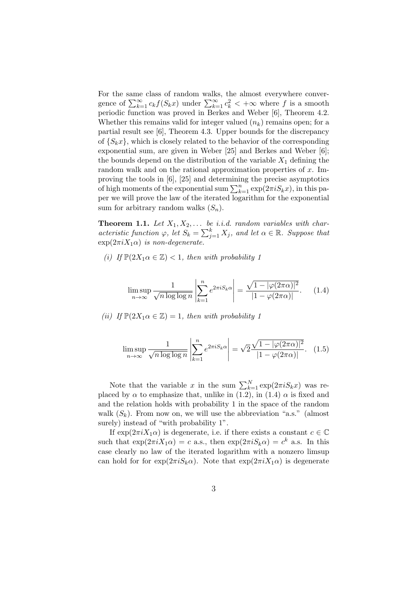For the same class of random walks, the almost everywhere convergence of  $\sum_{k=1}^{\infty} c_k f(S_k x)$  under  $\sum_{k=1}^{\infty} c_k^2 < +\infty$  where *f* is a smooth periodic function was proved in Berkes and Weber [6], Theorem 4.2. Whether this remains valid for integer valued  $(n_k)$  remains open; for a partial result see [6], Theorem 4.3. Upper bounds for the discrepancy of  ${S_kx}$ , which is closely related to the behavior of the corresponding exponential sum, are given in Weber [25] and Berkes and Weber [6]; the bounds depend on the distribution of the variable  $X_1$  defining the random walk and on the rational approximation properties of *x*. Improving the tools in [6], [25] and determining the precise asymptotics of high moments of the exponential sum  $\sum_{k=1}^{n} \exp(2\pi i S_k x)$ , in this paper we will prove the law of the iterated logarithm for the exponential sum for arbitrary random walks (*Sn*).

**Theorem 1.1.** Let  $X_1, X_2, \ldots$  be i.i.d. random variables with char*acteristic function*  $\varphi$ , *let*  $S_k = \sum_{j=1}^k X_j$ , *and let*  $\alpha \in \mathbb{R}$ *. Suppose that*  $\exp(2\pi i X_1 \alpha)$  *is non-degenerate.* 

*(i) If*  $\mathbb{P}(2X_1\alpha \in \mathbb{Z}) < 1$ *, then with probability 1* 

$$
\limsup_{n \to \infty} \frac{1}{\sqrt{n \log \log n}} \left| \sum_{k=1}^{n} e^{2\pi i S_k \alpha} \right| = \frac{\sqrt{1 - |\varphi(2\pi\alpha)|^2}}{|1 - \varphi(2\pi\alpha)|}.
$$
 (1.4)

*(ii) If*  $\mathbb{P}(2X_1 \alpha \in \mathbb{Z}) = 1$ *, then with probability 1* 

$$
\limsup_{n \to \infty} \frac{1}{\sqrt{n \log \log n}} \left| \sum_{k=1}^{n} e^{2\pi i S_k \alpha} \right| = \sqrt{2} \frac{\sqrt{1 - |\varphi(2\pi \alpha)|^2}}{|1 - \varphi(2\pi \alpha)|}. \quad (1.5)
$$

Note that the variable *x* in the sum  $\sum_{k=1}^{N} \exp(2\pi i S_k x)$  was replaced by  $\alpha$  to emphasize that, unlike in (1.2), in (1.4)  $\alpha$  is fixed and and the relation holds with probability 1 in the space of the random walk  $(S_k)$ . From now on, we will use the abbreviation "a.s." (almost surely) instead of "with probability 1".

If  $\exp(2\pi i X_1 \alpha)$  is degenerate, i.e. if there exists a constant  $c \in \mathbb{C}$ such that  $\exp(2\pi i X_1 \alpha) = c$  a.s., then  $\exp(2\pi i S_k \alpha) = c^k$  a.s. In this case clearly no law of the iterated logarithm with a nonzero limsup can hold for for  $\exp(2\pi i S_k \alpha)$ . Note that  $\exp(2\pi i X_1 \alpha)$  is degenerate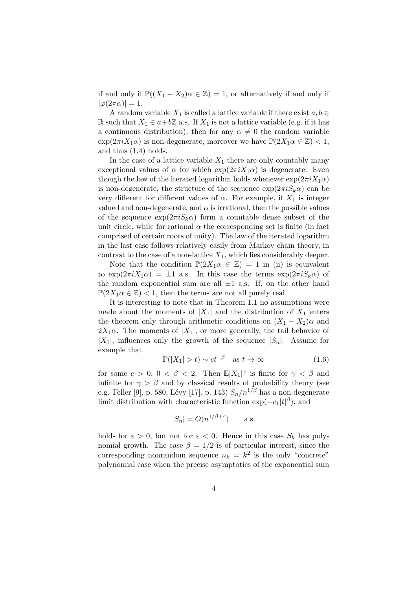if and only if  $\mathbb{P}((X_1 - X_2)\alpha \in \mathbb{Z}) = 1$ , or alternatively if and only if  $|\varphi(2\pi\alpha)|=1.$ 

A random variable  $X_1$  is called a lattice variable if there exist  $a, b \in$ R such that *X*<sup>1</sup>  $∈ a+bZ$  a.s. If *X*<sup>1</sup> is not a lattice variable (e.g. if it has a continuous distribution), then for any  $\alpha \neq 0$  the random variable  $\exp(2\pi i X_1 \alpha)$  is non-degenerate, moreover we have  $\mathbb{P}(2X_1 \alpha \in \mathbb{Z}) < 1$ , and thus (1.4) holds.

In the case of a lattice variable  $X_1$  there are only countably many exceptional values of  $\alpha$  for which  $\exp(2\pi i X_1 \alpha)$  is degenerate. Even though the law of the iterated logarithm holds whenever  $\exp(2\pi i X_1 \alpha)$ is non-degenerate, the structure of the sequence  $\exp(2\pi i S_k \alpha)$  can be very different for different values of  $\alpha$ . For example, if  $X_1$  is integer valued and non-degenerate, and  $\alpha$  is irrational, then the possible values of the sequence  $\exp(2\pi i S_k \alpha)$  form a countable dense subset of the unit circle, while for rational  $\alpha$  the corresponding set is finite (in fact comprised of certain roots of unity). The law of the iterated logarithm in the last case follows relatively easily from Markov chain theory, in contrast to the case of a non-lattice  $X_1$ , which lies considerably deeper.

Note that the condition  $\mathbb{P}(2X_1\alpha \in \mathbb{Z}) = 1$  in (ii) is equivalent to  $\exp(2\pi i X_1 \alpha) = \pm 1$  a.s. In this case the terms  $\exp(2\pi i S_k \alpha)$  of the random exponential sum are all  $\pm 1$  a.s. If, on the other hand  $\mathbb{P}(2X_1\alpha \in \mathbb{Z})$  < 1, then the terms are not all purely real.

It is interesting to note that in Theorem 1.1 no assumptions were made about the moments of  $|X_1|$  and the distribution of  $X_1$  enters the theorem only through arithmetic conditions on  $(X_1 - X_2)\alpha$  and  $2X_1\alpha$ . The moments of  $|X_1|$ , or more generally, the tail behavior of  $|X_1|$ , influences only the growth of the sequence  $|S_n|$ . Assume for example that

$$
\mathbb{P}(|X_1| > t) \sim ct^{-\beta} \quad \text{as } t \to \infty \tag{1.6}
$$

for some  $c > 0$ ,  $0 < \beta < 2$ . Then  $\mathbb{E}|X_1|^\gamma$  is finite for  $\gamma < \beta$  and infinite for  $\gamma > \beta$  and by classical results of probability theory (see e.g. Feller [9], p. 580, Lévy [17], p. 143)  $S_n/n^{1/\beta}$  has a non-degenerate limit distribution with characteristic function  $\exp(-c_1|t|^{\beta})$ , and

$$
|S_n| = O(n^{1/\beta + \varepsilon}) \quad \text{a.s.}
$$

holds for  $\varepsilon > 0$ , but not for  $\varepsilon < 0$ . Hence in this case  $S_k$  has polynomial growth. The case  $\beta = 1/2$  is of particular interest, since the corresponding nonrandom sequence  $n_k = k^2$  is the only "concrete" polynomial case when the precise asymptotics of the exponential sum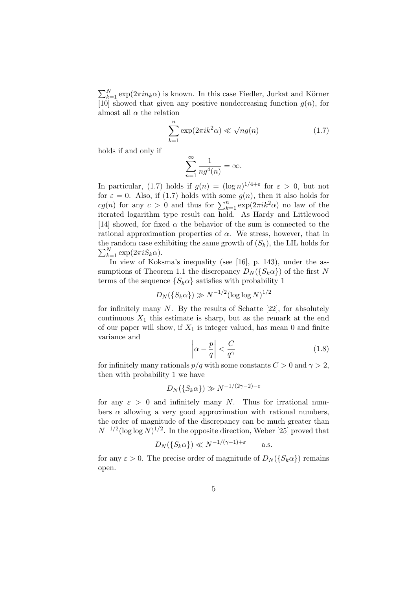$\sum_{k=1}^{N} \exp(2\pi i n_k \alpha)$  is known. In this case Fiedler, Jurkat and Körner [10] showed that given any positive nondecreasing function  $g(n)$ , for almost all  $\alpha$  the relation

$$
\sum_{k=1}^{n} \exp(2\pi i k^2 \alpha) \ll \sqrt{n}g(n) \tag{1.7}
$$

holds if and only if

$$
\sum_{n=1}^{\infty} \frac{1}{n g^4(n)} = \infty.
$$

In particular, (1.7) holds if  $g(n) = (\log n)^{1/4+\epsilon}$  for  $\epsilon > 0$ , but not for  $\varepsilon = 0$ . Also, if (1.7) holds with some  $g(n)$ , then it also holds for *cg*(*n*) for any *c* > 0 and thus for  $\sum_{k=1}^{n} \exp(2\pi i k^2 \alpha)$  no law of the iterated logarithm type result can hold. As Hardy and Littlewood [14] showed, for fixed  $\alpha$  the behavior of the sum is connected to the rational approximation properties of  $\alpha$ . We stress, however, that in the random case exhibiting the same growth of  $(S_k)$ , the LIL holds for  $\sum_{k=1}^{N} \exp(2\pi i S_k \alpha).$ 

In view of Koksma's inequality (see [16], p. 143), under the assumptions of Theorem 1.1 the discrepancy  $D_N({S_k \alpha})$  of the first N terms of the sequence  ${S_k \alpha}$  satisfies with probability 1

$$
D_N(\{S_k \alpha\}) \gg N^{-1/2} (\log \log N)^{1/2}
$$

for infinitely many *N*. By the results of Schatte [22], for absolutely continuous  $X_1$  this estimate is sharp, but as the remark at the end of our paper will show, if  $X_1$  is integer valued, has mean 0 and finite variance and

$$
\left| \alpha - \frac{p}{q} \right| < \frac{C}{q^{\gamma}} \tag{1.8}
$$

for infinitely many rationals  $p/q$  with some constants  $C > 0$  and  $\gamma > 2$ , then with probability 1 we have

$$
D_N(\{S_k \alpha\}) \gg N^{-1/(2\gamma - 2) - \varepsilon}
$$

for any  $\varepsilon > 0$  and infinitely many *N*. Thus for irrational numbers  $\alpha$  allowing a very good approximation with rational numbers, the order of magnitude of the discrepancy can be much greater than  $N^{-1/2}$ (log log *N*)<sup>1/2</sup>. In the opposite direction, Weber [25] proved that

$$
D_N(\{S_k \alpha\}) \ll N^{-1/(\gamma - 1) + \varepsilon} \quad \text{a.s.}
$$

for any  $\varepsilon > 0$ . The precise order of magnitude of  $D_N({S_k \alpha})$  remains open.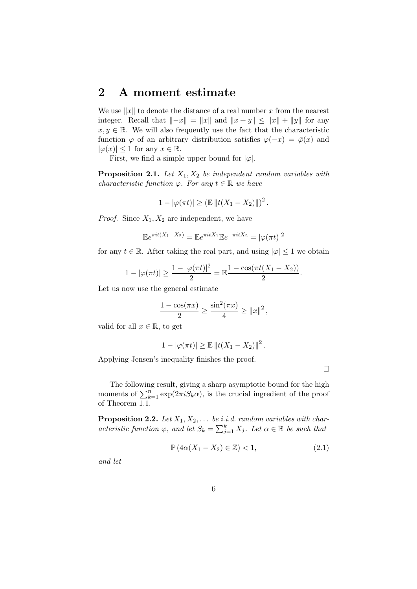### **2 A moment estimate**

We use *∥x∥* to denote the distance of a real number *x* from the nearest integer. Recall that  $||-x|| = ||x||$  and  $||x+y|| \le ||x|| + ||y||$  for any  $x, y \in \mathbb{R}$ . We will also frequently use the fact that the characteristic function  $\varphi$  of an arbitrary distribution satisfies  $\varphi(-x) = \overline{\varphi}(x)$  and  $|\varphi(x)| \leq 1$  for any  $x \in \mathbb{R}$ .

First, we find a simple upper bound for  $|\varphi|$ .

**Proposition 2.1.** *Let X*1*, X*<sup>2</sup> *be independent random variables with characteristic function*  $\varphi$ *. For any*  $t \in \mathbb{R}$  *we have* 

 $1 - |\varphi(\pi t)| \geq (\mathbb{E} ||t(X_1 - X_2)||)^2$ .

*Proof.* Since *X*1*, X*<sup>2</sup> are independent, we have

$$
\mathbb{E}e^{\pi it(X_1 - X_2)} = \mathbb{E}e^{\pi itX_1}\mathbb{E}e^{-\pi itX_2} = |\varphi(\pi t)|^2
$$

for any  $t \in \mathbb{R}$ . After taking the real part, and using  $|\varphi| \leq 1$  we obtain

$$
1 - |\varphi(\pi t)| \ge \frac{1 - |\varphi(\pi t)|^2}{2} = \mathbb{E} \frac{1 - \cos(\pi t (X_1 - X_2))}{2}.
$$

Let us now use the general estimate

$$
\frac{1 - \cos(\pi x)}{2} \ge \frac{\sin^2(\pi x)}{4} \ge ||x||^2,
$$

valid for all  $x \in \mathbb{R}$ , to get

$$
1-|\varphi(\pi t)| \geq \mathbb{E} ||t(X_1 - X_2)||^2.
$$

Applying Jensen's inequality finishes the proof.

 $\Box$ 

The following result, giving a sharp asymptotic bound for the high moments of  $\sum_{k=1}^{n} \exp(2\pi i S_k \alpha)$ , is the crucial ingredient of the proof of Theorem 1.1.

**Proposition 2.2.** *Let X*1*, X*2*, . . . be i.i.d. random variables with characteristic function*  $\varphi$ *, and let*  $S_k = \sum_{j=1}^k X_j$ *. Let*  $\alpha \in \mathbb{R}$  *be such that* 

$$
\mathbb{P}\left(4\alpha(X_1 - X_2) \in \mathbb{Z}\right) < 1,\tag{2.1}
$$

*and let*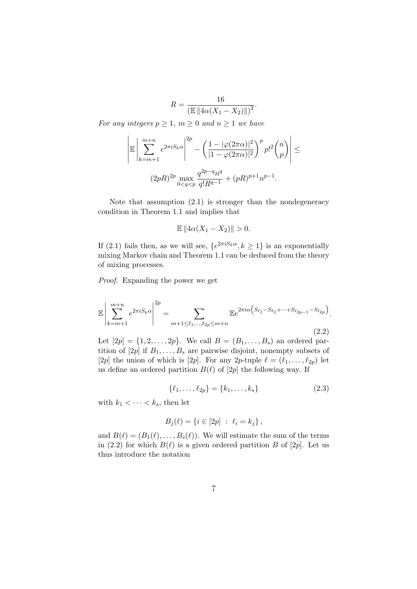$R = \frac{16}{\sqrt{5}}$  $\frac{18}{(\mathbb{E} || 4\alpha(X_1 - X_2) ||)^2}.$ 

*For any integers*  $p \geq 1$ *,*  $m \geq 0$  *and*  $n \geq 1$  *we have* 

$$
\left| \mathbb{E} \left| \sum_{k=m+1}^{m+n} e^{2\pi i S_k \alpha} \right|^{2p} - \left( \frac{1 - |\varphi(2\pi \alpha)|^2}{|1 - \varphi(2\pi \alpha)|^2} \right)^p p!^2 {n \choose p} \right| \le
$$
  

$$
(2pR)^{2p} \max_{0 \le q \le p} \frac{q^{2p-q} n^q}{q! R^{q-1}} + (pR)^{p+1} n^{p-1}.
$$

Note that assumption (2.1) is stronger than the nondegeneracy condition in Theorem 1.1 and implies that

$$
\mathbb{E}\left\|4\alpha(X_1 - X_2)\right\| > 0.
$$

If (2.1) fails then, as we will see,  ${e^{2\pi i S_k \alpha}, k \ge 1}$  is an exponentially mixing Markov chain and Theorem 1.1 can be deduced from the theory of mixing processes.

*Proof.* Expanding the power we get

$$
\mathbb{E}\left|\sum_{k=m+1}^{m+n} e^{2\pi i S_k \alpha}\right|^{2p} = \sum_{m+1 \le \ell_1, \dots, \ell_{2p} \le m+n} \mathbb{E}e^{2\pi i \alpha \left(S_{\ell_1} - S_{\ell_2} + \dots + S_{\ell_{2p-1}} - S_{\ell_{2p}}\right)}.
$$
\n(2.2)

Let  $[2p] = \{1, 2, ..., 2p\}$ . We call  $B = (B_1, ..., B_s)$  an ordered partition of  $[2p]$  if  $B_1, \ldots, B_s$  are pairwise disjoint, nonempty subsets of [2*p*] the union of which is [2*p*]. For any 2*p*-tuple  $\ell = (\ell_1, \ldots, \ell_{2p})$  let us define an ordered partition  $B(\ell)$  of  $[2p]$  the following way. If

$$
\{\ell_1, \ldots, \ell_{2p}\} = \{k_1, \ldots, k_s\} \tag{2.3}
$$

with  $k_1 < \cdots < k_s$ , then let

$$
B_j(\ell) = \{ i \in [2p] : \ell_i = k_j \},\
$$

and  $B(\ell) = (B_1(\ell), \ldots, B_s(\ell))$ . We will estimate the sum of the terms in (2.2) for which  $B(\ell)$  is a given ordered partition *B* of [2*p*]. Let us thus introduce the notation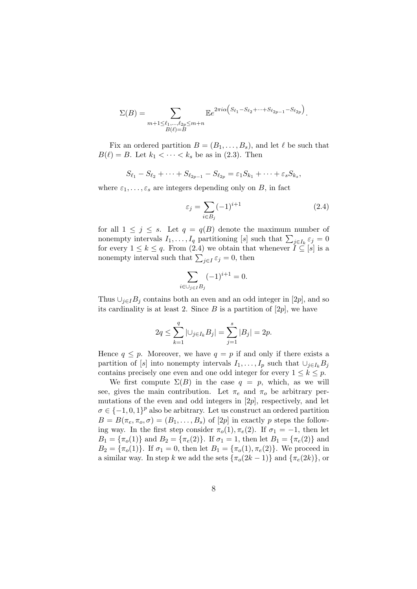$$
\Sigma(B) = \sum_{\substack{m+1 \leq \ell_1, \dots, \ell_{2p} \leq m+n \\ B(\ell)=B}} \mathbb{E} e^{2\pi i \alpha \left( S_{\ell_1} - S_{\ell_2} + \dots + S_{\ell_{2p-1}} - S_{\ell_{2p}} \right)}.
$$

Fix an ordered partition  $B = (B_1, \ldots, B_s)$ , and let  $\ell$  be such that  $B(\ell) = B$ . Let  $k_1 < \cdots < k_s$  be as in (2.3). Then

$$
S_{\ell_1}-S_{\ell_2}+\cdots+S_{\ell_{2p-1}}-S_{\ell_{2p}}=\varepsilon_1S_{k_1}+\cdots+\varepsilon_sS_{k_s},
$$

where  $\varepsilon_1, \ldots, \varepsilon_s$  are integers depending only on *B*, in fact

$$
\varepsilon_j = \sum_{i \in B_j} (-1)^{i+1} \tag{2.4}
$$

for all  $1 \leq j \leq s$ . Let  $q = q(B)$  denote the maximum number of nonempty intervals  $I_1, \ldots, I_q$  partitioning [*s*] such that  $\sum_{j \in I_k} \varepsilon_j = 0$ for every  $1 \leq k \leq q$ . From (2.4) we obtain that whenever  $\check{I} \subseteq [s]$  is a nonempty interval such that  $\sum_{j\in I} \varepsilon_j = 0$ , then

$$
\sum_{i\in \cup_{j\in I}B_j} (-1)^{i+1} = 0.
$$

Thus  $\bigcup_{i \in I} B_i$  contains both an even and an odd integer in [2*p*], and so its cardinality is at least 2. Since  $B$  is a partition of  $[2p]$ , we have

$$
2q \le \sum_{k=1}^q | \cup_{j \in I_k} B_j | = \sum_{j=1}^s |B_j| = 2p.
$$

Hence  $q \leq p$ . Moreover, we have  $q = p$  if and only if there exists a partition of [*s*] into nonempty intervals  $I_1, \ldots, I_p$  such that  $\cup_{j \in I_k} B_j$ contains precisely one even and one odd integer for every  $1 \leq k \leq p$ .

We first compute  $\Sigma(B)$  in the case  $q = p$ , which, as we will see, gives the main contribution. Let  $\pi_e$  and  $\pi_o$  be arbitrary permutations of the even and odd integers in [2*p*], respectively, and let  $\sigma \in \{-1, 0, 1\}^p$  also be arbitrary. Let us construct an ordered partition  $B = B(\pi_e, \pi_o, \sigma) = (B_1, \ldots, B_s)$  of [2*p*] in exactly *p* steps the following way. In the first step consider  $\pi_o(1), \pi_e(2)$ . If  $\sigma_1 = -1$ , then let *B*<sub>1</sub> = { $\pi$ <sup>*o*</sup>(1)} and *B*<sub>2</sub> = { $\pi$ <sup>*e*</sup>(2)}. If  $\sigma$ <sub>1</sub> = 1, then let *B*<sub>1</sub> = { $\pi$ <sup>*e*</sup>(2)} and *B*<sub>2</sub> = { $\pi_o(1)$ }. If  $\sigma_1 = 0$ , then let  $B_1 = {\pi_o(1), \pi_e(2)}$ . We proceed in a similar way. In step *k* we add the sets  $\{\pi_o(2k-1)\}\$  and  $\{\pi_e(2k)\}\$ , or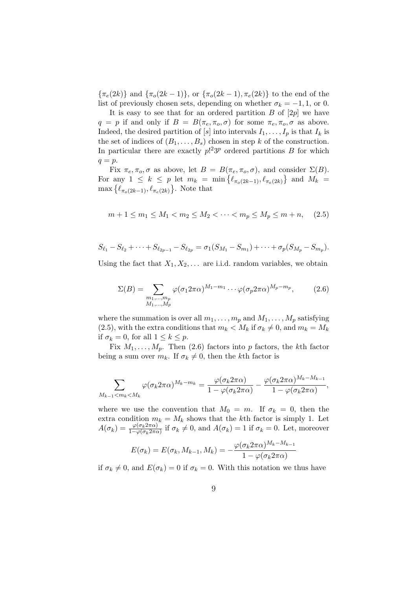$\{\pi_e(2k)\}\$  and  $\{\pi_o(2k-1)\}\$ , or  $\{\pi_o(2k-1), \pi_e(2k)\}\$ to the end of the list of previously chosen sets, depending on whether  $\sigma_k = -1, 1$ , or 0.

It is easy to see that for an ordered partition  $B$  of  $[2p]$  we have  $q = p$  if and only if  $B = B(\pi_e, \pi_o, \sigma)$  for some  $\pi_e, \pi_o, \sigma$  as above. Indeed, the desired partition of [*s*] into intervals  $I_1, \ldots, I_p$  is that  $I_k$  is the set of indices of  $(B_1, \ldots, B_s)$  chosen in step *k* of the construction. In particular there are exactly  $p$ <sup>2</sup> $3^p$  ordered partitions *B* for which *q* = *p*.

Fix  $\pi_e, \pi_o, \sigma$  as above, let  $B = B(\pi_e, \pi_o, \sigma)$ , and consider  $\Sigma(B)$ . For any  $1 \leq k \leq p$  let  $m_k = \min\{\ell_{\pi_o(2k-1)}, \ell_{\pi_e(2k)}\}$  and  $M_k =$  $\max\left\{\ell_{\pi_o(2k-1)}, \ell_{\pi_e(2k)}\right\}$ . Note that

$$
m + 1 \le m_1 \le M_1 < m_2 \le M_2 < \dots < m_p \le M_p \le m + n,\tag{2.5}
$$

$$
S_{\ell_1} - S_{\ell_2} + \cdots + S_{\ell_{2p-1}} - S_{\ell_{2p}} = \sigma_1(S_{M_1} - S_{m_1}) + \cdots + \sigma_p(S_{M_p} - S_{m_p}).
$$

Using the fact that  $X_1, X_2, \ldots$  are i.i.d. random variables, we obtain

$$
\Sigma(B) = \sum_{\substack{m_1,\ldots,m_p\\M_1,\ldots,M_p}} \varphi(\sigma_1 2\pi \alpha)^{M_1-m_1} \cdots \varphi(\sigma_p 2\pi \alpha)^{M_p-m_p},\tag{2.6}
$$

where the summation is over all  $m_1, \ldots, m_p$  and  $M_1, \ldots, M_p$  satisfying (2.5), with the extra conditions that  $m_k < M_k$  if  $\sigma_k \neq 0$ , and  $m_k = M_k$ if  $\sigma_k = 0$ , for all  $1 \leq k \leq p$ .

Fix  $M_1, \ldots, M_p$ . Then (2.6) factors into *p* factors, the *k*th factor being a sum over  $m_k$ . If  $\sigma_k \neq 0$ , then the *k*th factor is

$$
\sum_{M_{k-1} < m_k < M_k} \varphi(\sigma_k 2\pi \alpha)^{M_k - m_k} = \frac{\varphi(\sigma_k 2\pi \alpha)}{1 - \varphi(\sigma_k 2\pi \alpha)} - \frac{\varphi(\sigma_k 2\pi \alpha)^{M_k - M_{k-1}}}{1 - \varphi(\sigma_k 2\pi \alpha)},
$$

where we use the convention that  $M_0 = m$ . If  $\sigma_k = 0$ , then the extra condition  $m_k = M_k$  shows that the *k*th factor is simply 1. Let  $A(\sigma_k) = \frac{\varphi(\sigma_k 2\pi\alpha)}{1-\varphi(\sigma_k 2\pi\alpha)}$  if  $\sigma_k \neq 0$ , and  $A(\sigma_k) = 1$  if  $\sigma_k = 0$ . Let, moreover

$$
E(\sigma_k) = E(\sigma_k, M_{k-1}, M_k) = -\frac{\varphi(\sigma_k 2\pi \alpha)^{M_k - M_{k-1}}}{1 - \varphi(\sigma_k 2\pi \alpha)}
$$

if  $\sigma_k \neq 0$ , and  $E(\sigma_k) = 0$  if  $\sigma_k = 0$ . With this notation we thus have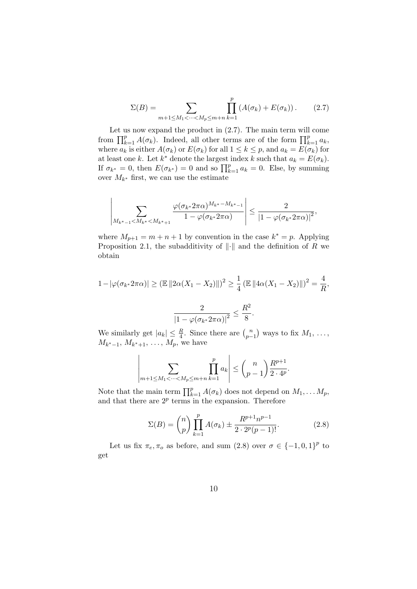$$
\Sigma(B) = \sum_{m+1 \le M_1 < \dots < M_p \le m+n} \prod_{k=1}^p \left( A(\sigma_k) + E(\sigma_k) \right). \tag{2.7}
$$

Let us now expand the product in  $(2.7)$ . The main term will come from  $\prod_{k=1}^{p} A(\sigma_k)$ . Indeed, all other terms are of the form  $\prod_{k=1}^{p} a_k$ , where  $a_k$  is either  $A(\sigma_k)$  or  $E(\sigma_k)$  for all  $1 \leq k \leq p$ , and  $a_k = E(\sigma_k)$  for at least one *k*. Let  $k^*$  denote the largest index  $k$  such that  $a_k = E(\sigma_k)$ . If  $\sigma_{k^*} = 0$ , then  $E(\sigma_{k^*}) = 0$  and so  $\prod_{k=1}^p a_k = 0$ . Else, by summing over  $M_{k^*}$  first, we can use the estimate

$$
\left|\sum_{M_{k^*-1} < M_{k^*} < M_{k^*+1}} \frac{\varphi(\sigma_{k^*} 2\pi \alpha)^{M_{k^*}-M_{k^*-1}}}{1-\varphi(\sigma_{k^*} 2\pi \alpha)}\right| \leq \frac{2}{\left|1-\varphi(\sigma_{k^*} 2\pi \alpha)\right|^2},
$$

where  $M_{p+1} = m + n + 1$  by convention in the case  $k^* = p$ . Applying Proposition 2.1, the subadditivity of *∥·∥* and the definition of *R* we obtain

$$
1 - |\varphi(\sigma_{k^*} 2\pi \alpha)| \ge (\mathbb{E} ||2\alpha(X_1 - X_2)||)^2 \ge \frac{1}{4} (\mathbb{E} ||4\alpha(X_1 - X_2)||)^2 = \frac{4}{R},
$$

$$
\frac{2}{|1 - \varphi(\sigma_{k^*} 2\pi \alpha)|^2} \le \frac{R^2}{8}.
$$

We similarly get  $|a_k| \leq \frac{R}{4}$ . Since there are  $\binom{n}{p}$ *p*<sup>*n*</sup><sub>*p*−1</sub></sub> $)$  ways to fix *M*<sub>1</sub>, . . . ,  $M_{k^* - 1}, M_{k^* + 1}, \ldots, M_p$ , we have

$$
\left| \sum_{m+1 \le M_1 < \dots < M_p \le m+n} \prod_{k=1}^p a_k \right| \le \binom{n}{p-1} \frac{R^{p+1}}{2 \cdot 4^p}.
$$

Note that the main term  $\prod_{k=1}^{p} A(\sigma_k)$  does not depend on  $M_1, \ldots, M_p$ , and that there are  $2^p$  terms in the expansion. Therefore

$$
\Sigma(B) = \binom{n}{p} \prod_{k=1}^{p} A(\sigma_k) \pm \frac{R^{p+1} n^{p-1}}{2 \cdot 2^p (p-1)!}.
$$
 (2.8)

Let us fix  $\pi_e, \pi_o$  as before, and sum (2.8) over  $\sigma \in \{-1, 0, 1\}^p$  to get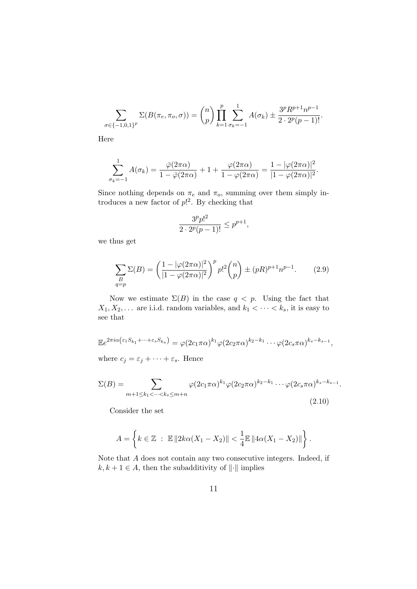$$
\sum_{\sigma \in \{-1,0,1\}^p} \Sigma(B(\pi_e, \pi_o, \sigma)) = {n \choose p} \prod_{k=1}^p \sum_{\sigma_k=-1}^1 A(\sigma_k) \pm \frac{3^p R^{p+1} n^{p-1}}{2 \cdot 2^p (p-1)!}.
$$

Here

$$
\sum_{\sigma_k=-1}^1 A(\sigma_k) = \frac{\overline{\varphi}(2\pi\alpha)}{1-\overline{\varphi}(2\pi\alpha)} + 1 + \frac{\varphi(2\pi\alpha)}{1-\varphi(2\pi\alpha)} = \frac{1-|\varphi(2\pi\alpha)|^2}{|1-\varphi(2\pi\alpha)|^2}.
$$

Since nothing depends on  $\pi_e$  and  $\pi_o$ , summing over them simply introduces a new factor of *p*! 2 . By checking that

$$
\frac{3^pp!^2}{2\cdot 2^p(p-1)!}\leq p^{p+1},
$$

we thus get

$$
\sum_{\substack{B\\q=p}} \Sigma(B) = \left(\frac{1 - |\varphi(2\pi\alpha)|^2}{|1 - \varphi(2\pi\alpha)|^2}\right)^p p!^2 \binom{n}{p} \pm (pR)^{p+1} n^{p-1}.\tag{2.9}
$$

Now we estimate  $\Sigma(B)$  in the case  $q < p$ . Using the fact that  $X_1, X_2, \ldots$  are i.i.d. random variables, and  $k_1 < \cdots < k_s$ , it is easy to see that

$$
\mathbb{E}e^{2\pi i\alpha(\varepsilon_1 S_{k_1} + \dots + \varepsilon_s S_{k_s})} = \varphi(2c_1\pi\alpha)^{k_1}\varphi(2c_2\pi\alpha)^{k_2 - k_1}\cdots\varphi(2c_s\pi\alpha)^{k_s - k_{s-1}},
$$
  
where  $c_j = \varepsilon_j + \cdots + \varepsilon_s$ . Hence

$$
\Sigma(B) = \sum_{m+1 \le k_1 < \dots < k_s \le m+n} \varphi(2c_1 \pi \alpha)^{k_1} \varphi(2c_2 \pi \alpha)^{k_2 - k_1} \dots \varphi(2c_s \pi \alpha)^{k_s - k_{s-1}}.
$$
\n(2.10)

Consider the set

$$
A = \left\{ k \in \mathbb{Z} : \mathbb{E} \| 2k\alpha (X_1 - X_2) \| < \frac{1}{4} \mathbb{E} \| 4\alpha (X_1 - X_2) \| \right\}.
$$

Note that *A* does not contain any two consecutive integers. Indeed, if  $k, k + 1 \in A$ , then the subadditivity of  $|| \cdot ||$  implies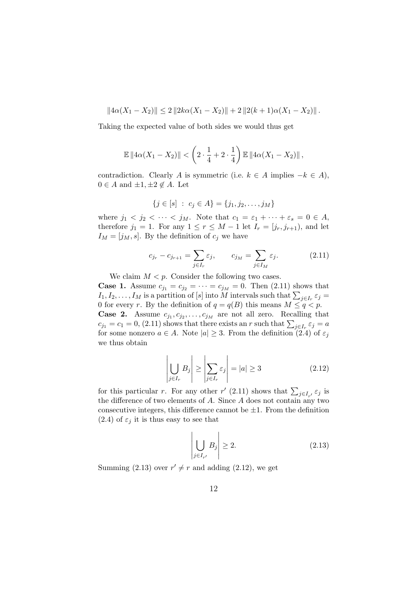$$
||4\alpha(X_1 - X_2)|| \le 2 ||2k\alpha(X_1 - X_2)|| + 2 ||2(k+1)\alpha(X_1 - X_2)||.
$$

Taking the expected value of both sides we would thus get

$$
\mathbb{E} \|4\alpha (X_1 - X_2)\| < \left(2 \cdot \frac{1}{4} + 2 \cdot \frac{1}{4}\right) \mathbb{E} \|4\alpha (X_1 - X_2)\| \,,
$$

contradiction. Clearly *A* is symmetric (i.e.  $k \in A$  implies  $-k \in A$ ),  $0 \in A$  and  $\pm 1, \pm 2 \notin A$ . Let

$$
\{j \in [s] : c_j \in A\} = \{j_1, j_2, \dots, j_M\}
$$

where  $j_1 < j_2 < \cdots < j_M$ . Note that  $c_1 = \varepsilon_1 + \cdots + \varepsilon_s = 0 \in A$ , therefore  $j_1 = 1$ . For any  $1 \le r \le M - 1$  let  $I_r = [j_r, j_{r+1}),$  and let  $I_M = [j_M, s]$ . By the definition of  $c_j$  we have

$$
c_{j_r} - c_{j_{r+1}} = \sum_{j \in I_r} \varepsilon_j, \qquad c_{j_M} = \sum_{j \in I_M} \varepsilon_j.
$$
 (2.11)

We claim  $M < p$ . Consider the following two cases.

**Case 1.** Assume  $c_{j_1} = c_{j_2} = \cdots = c_{j_M} = 0$ . Then (2.11) shows that *I*<sub>1</sub>*, I*<sub>2</sub>*, . . . , I<sub>M</sub>* is a partition of [*s*] into *M* intervals such that  $\sum_{j \in I_r} \varepsilon_j =$ 0 for every *r*. By the definition of  $q = q(B)$  this means  $M \leq q < p$ . **Case 2.** Assume  $c_{j_1}, c_{j_2}, \ldots, c_{j_M}$  are not all zero. Recalling that  $c_{j1} = c_1 = 0$ , (2.11) shows that there exists an *r* such that  $\sum_{j \in I_r} \varepsilon_j = a$ for some nonzero  $a \in A$ . Note  $|a| \geq 3$ . From the definition (2.4) of  $\varepsilon_j$ we thus obtain

$$
\left| \bigcup_{j \in I_r} B_j \right| \ge \left| \sum_{j \in I_r} \varepsilon_j \right| = |a| \ge 3 \tag{2.12}
$$

for this particular *r*. For any other *r'* (2.11) shows that  $\sum_{j \in I_{r'}} \varepsilon_j$  is the difference of two elements of *A*. Since *A* does not contain any two consecutive integers, this difference cannot be  $\pm 1$ . From the definition  $(2.4)$  of  $\varepsilon_j$  it is thus easy to see that

$$
\left| \bigcup_{j \in I_{r'}} B_j \right| \ge 2. \tag{2.13}
$$

Summing (2.13) over  $r' \neq r$  and adding (2.12), we get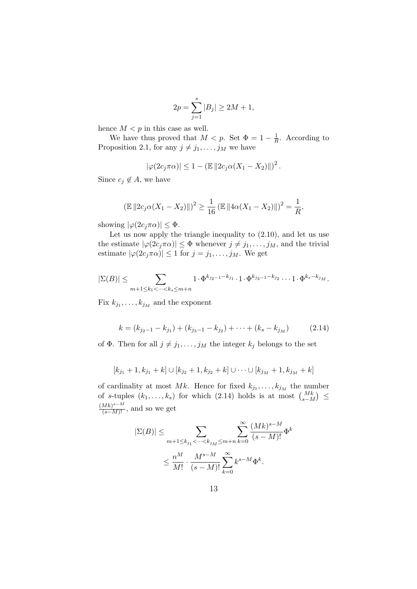$$
2p = \sum_{j=1}^{s} |B_j| \ge 2M + 1,
$$

hence  $M < p$  in this case as well.

We have thus proved that  $M < p$ . Set  $\Phi = 1 - \frac{1}{R}$  $\frac{1}{R}$ . According to Proposition 2.1, for any  $j \neq j_1, \ldots, j_M$  we have

$$
|\varphi(2c_j\pi\alpha)| \leq 1 - (\mathbb{E} ||2c_j\alpha(X_1 - X_2)||)^2.
$$

Since  $c_j \notin A$ , we have

$$
(\mathbb{E} ||2c_j\alpha(X_1 - X_2)||)^2 \ge \frac{1}{16} (\mathbb{E} ||4\alpha(X_1 - X_2)||)^2 = \frac{1}{R},
$$

showing  $|\varphi(2c_j\pi\alpha)| \leq \Phi$ .

Let us now apply the triangle inequality to  $(2.10)$ , and let us use the estimate  $|\varphi(2c_j\pi\alpha)| \leq \Phi$  whenever  $j \neq j_1, \ldots, j_M$ , and the trivial estimate  $|\varphi(2c_j\pi\alpha)| \leq 1$  for  $j = j_1, \ldots, j_M$ . We get

$$
|\Sigma(B)| \le \sum_{m+1 \le k_1 < \dots < k_s \le m+n} 1 \cdot \Phi^{k_{j_2-1}-k_{j_1}} \cdot 1 \cdot \Phi^{k_{j_3-1}-k_{j_2}} \dots 1 \cdot \Phi^{k_s-k_{j_M}}.
$$

Fix  $k_{j_1}, \ldots, k_{j_M}$  and the exponent

$$
k = (k_{j_2-1} - k_{j_1}) + (k_{j_3-1} - k_{j_2}) + \dots + (k_s - k_{j_M})
$$
 (2.14)

of  $\Phi$ . Then for all  $j \neq j_1, \ldots, j_M$  the integer  $k_j$  belongs to the set

$$
[k_{j_1}+1, k_{j_1}+k] \cup [k_{j_2}+1, k_{j_2}+k] \cup \cdots \cup [k_{j_M}+1, k_{j_M}+k]
$$

of cardinality at most  $Mk$ . Hence for fixed  $k_{j_1}, \ldots, k_{j_M}$  the number of *s*-tuples  $(k_1, \ldots, k_s)$  for which (2.14) holds is at most  $\binom{Mk}{s-M}$  ≤  $\frac{(Mk)^{s-M}}{(s-M)!}$ , and so we get

$$
|\Sigma(B)| \leq \sum_{m+1 \leq k_{j_1} < \dots < k_{j_M} \leq m+n} \sum_{k=0}^{\infty} \frac{(Mk)^{s-M}}{(s-M)!} \Phi^k
$$
  

$$
\leq \frac{n^M}{M!} \cdot \frac{M^{s-M}}{(s-M)!} \sum_{k=0}^{\infty} k^{s-M} \Phi^k.
$$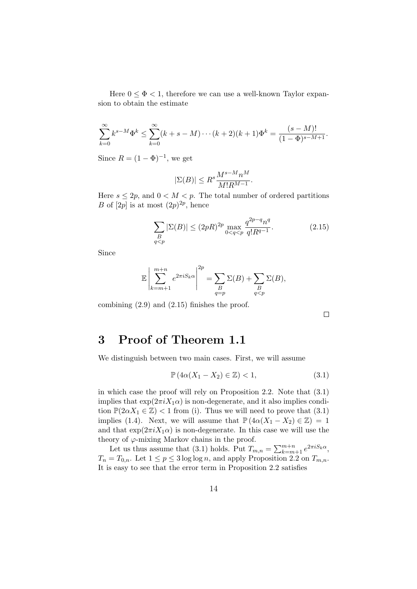Here  $0 \leq \Phi < 1$ , therefore we can use a well-known Taylor expansion to obtain the estimate

$$
\sum_{k=0}^{\infty} k^{s-M} \Phi^k \le \sum_{k=0}^{\infty} (k+s-M) \cdots (k+2)(k+1) \Phi^k = \frac{(s-M)!}{(1-\Phi)^{s-M+1}}.
$$

Since  $R = (1 - \Phi)^{-1}$ , we get

$$
|\Sigma(B)| \le R^s \frac{M^{s-M} n^M}{M! R^{M-1}}.
$$

Here  $s \leq 2p$ , and  $0 < M < p$ . The total number of ordered partitions *B* of [2*p*] is at most  $(2p)^{2p}$ , hence

$$
\sum_{\substack{B\\q
$$

Since

$$
\mathbb{E}\left|\sum_{k=m+1}^{m+n}e^{2\pi i S_k\alpha}\right|^{2p} = \sum_{\substack{B\\q=p}}\Sigma(B) + \sum_{\substack{B\\q
$$

combining (2.9) and (2.15) finishes the proof.

 $\Box$ 

#### **3 Proof of Theorem 1.1**

We distinguish between two main cases. First, we will assume

$$
\mathbb{P}\left(4\alpha(X_1 - X_2) \in \mathbb{Z}\right) < 1,\tag{3.1}
$$

in which case the proof will rely on Proposition 2.2. Note that (3.1) implies that  $\exp(2\pi i X_1 \alpha)$  is non-degenerate, and it also implies condition  $\mathbb{P}(2\alpha X_1 \in \mathbb{Z})$  < 1 from (i). Thus we will need to prove that (3.1) implies (1.4). Next, we will assume that  $\mathbb{P}(4\alpha(X_1 - X_2) \in \mathbb{Z}) = 1$ and that  $\exp(2\pi i X_1 \alpha)$  is non-degenerate. In this case we will use the theory of  $\varphi$ -mixing Markov chains in the proof.

Let us thus assume that (3.1) holds. Put  $T_{m,n} = \sum_{k=m+1}^{m+n} e^{2\pi i S_k \alpha}$ ,  $T_n = T_{0,n}$ . Let  $1 \leq p \leq 3 \log \log n$ , and apply Proposition 2.2 on  $T_{m,n}$ . It is easy to see that the error term in Proposition 2.2 satisfies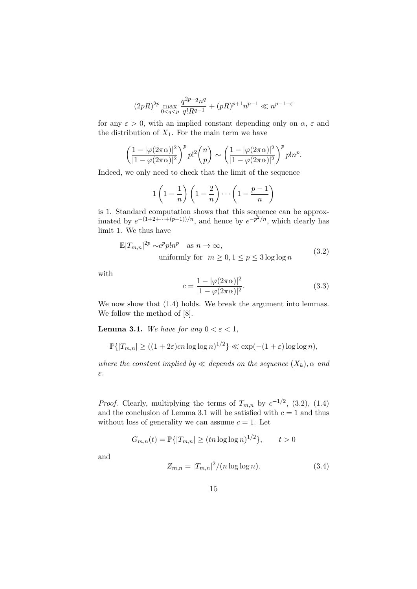$$
(2pR)^{2p} \max_{0 < q < p} \frac{q^{2p-q}n^q}{q!R^{q-1}} + (pR)^{p+1}n^{p-1} \ll n^{p-1+\varepsilon}
$$

for any  $\varepsilon > 0$ , with an implied constant depending only on  $\alpha$ ,  $\varepsilon$  and the distribution of  $X_1$ . For the main term we have

$$
\left(\frac{1-|\varphi(2\pi\alpha)|^2}{|1-\varphi(2\pi\alpha)|^2}\right)^p p!^2 {n \choose p} \sim \left(\frac{1-|\varphi(2\pi\alpha)|^2}{|1-\varphi(2\pi\alpha)|^2}\right)^p p!n^p.
$$

Indeed, we only need to check that the limit of the sequence

$$
1\left(1-\frac{1}{n}\right)\left(1-\frac{2}{n}\right)\cdots\left(1-\frac{p-1}{n}\right)
$$

is 1. Standard computation shows that this sequence can be approximated by  $e^{-(1+2+\cdots+(p-1))/n}$ , and hence by  $e^{-p^2/n}$ , which clearly has limit 1. We thus have

$$
\mathbb{E}|T_{m,n}|^{2p} \sim c^p p! n^p \quad \text{as } n \to \infty,
$$
  
uniformly for  $m \ge 0, 1 \le p \le 3 \log \log n$  (3.2)

with

$$
c = \frac{1 - |\varphi(2\pi\alpha)|^2}{|1 - \varphi(2\pi\alpha)|^2}.
$$
 (3.3)

We now show that  $(1.4)$  holds. We break the argument into lemmas. We follow the method of [8].

**Lemma 3.1.** *We have for any*  $0 < \varepsilon < 1$ *,* 

$$
\mathbb{P}\{|T_{m,n}| \ge ((1+2\varepsilon)cn\log\log n)^{1/2}\} \ll \exp(-(1+\varepsilon)\log\log n),
$$

*where the constant implied by*  $\ll$  *depends on the sequence*  $(X_k)$ *,*  $\alpha$  *and ε.*

*Proof.* Clearly, multiplying the terms of  $T_{m,n}$  by  $c^{-1/2}$ , (3.2), (1.4) and the conclusion of Lemma 3.1 will be satisfied with  $c = 1$  and thus without loss of generality we can assume  $c = 1$ . Let

$$
G_{m,n}(t) = \mathbb{P}\{|T_{m,n}| \ge (tn \log \log n)^{1/2}\}, \qquad t > 0
$$

and

$$
Z_{m,n} = |T_{m,n}|^2 / (n \log \log n). \tag{3.4}
$$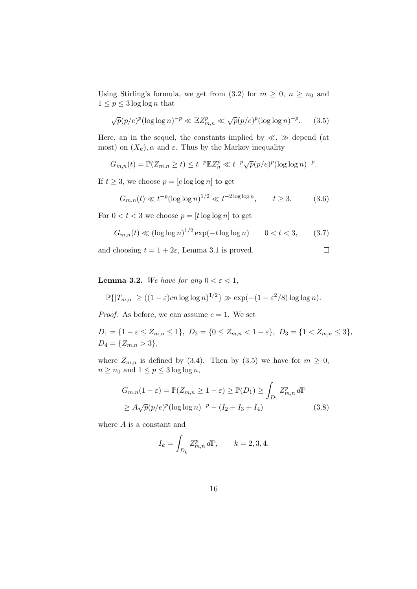Using Stirling's formula, we get from  $(3.2)$  for  $m \geq 0$ ,  $n \geq n_0$  and  $1 \leq p \leq 3 \log \log n$  that

$$
\sqrt{p}(p/e)^p (\log \log n)^{-p} \ll \mathbb{E}Z_{m,n}^p \ll \sqrt{p}(p/e)^p (\log \log n)^{-p}.
$$
 (3.5)

Here, an in the sequel, the constants implied by *≪*, *≫* depend (at most) on  $(X_k)$ ,  $\alpha$  and  $\varepsilon$ . Thus by the Markov inequality

$$
G_{m,n}(t) = \mathbb{P}(Z_{m,n} \ge t) \le t^{-p} \mathbb{E} Z_n^p \ll t^{-p} \sqrt{p}(p/e)^p (\log \log n)^{-p}.
$$

If  $t \geq 3$ , we choose  $p = [e \log \log n]$  to get

$$
G_{m,n}(t) \ll t^{-p} (\log \log n)^{1/2} \ll t^{-2\log \log n}, \qquad t \ge 3. \tag{3.6}
$$

For  $0 < t < 3$  we choose  $p = [t \log \log n]$  to get

$$
G_{m,n}(t) \ll (\log \log n)^{1/2} \exp(-t \log \log n) \qquad 0 < t < 3,\tag{3.7}
$$

and choosing  $t = 1 + 2\varepsilon$ , Lemma 3.1 is proved.  $\Box$ 

**Lemma 3.2.** *We have for any*  $0 < \varepsilon < 1$ *,* 

$$
\mathbb{P}\{|T_{m,n}| \ge ((1-\varepsilon)cn\log\log n)^{1/2}\} \gg \exp(-(1-\varepsilon^2/8)\log\log n).
$$

*Proof.* As before, we can assume  $c = 1$ . We set

 $D_1 = \{1 - \varepsilon \leq Z_{m,n} \leq 1\}, D_2 = \{0 \leq Z_{m,n} < 1 - \varepsilon\}, D_3 = \{1 < Z_{m,n} \leq 3\},$  $D_4 = \{Z_{m,n} > 3\},\$ 

where  $Z_{m,n}$  is defined by (3.4). Then by (3.5) we have for  $m \geq 0$ ,  $n \geq n_0$  and  $1 \leq p \leq 3 \log \log n$ ,

$$
G_{m,n}(1-\varepsilon) = \mathbb{P}(Z_{m,n} \ge 1-\varepsilon) \ge \mathbb{P}(D_1) \ge \int_{D_1} Z_{m,n}^p d\mathbb{P}
$$
  
 
$$
\ge A\sqrt{p}(p/e)^p (\log \log n)^{-p} - (I_2 + I_3 + I_4)
$$
(3.8)

where *A* is a constant and

$$
I_k = \int_{D_k} Z_{m,n}^p d\mathbb{P}, \qquad k = 2, 3, 4.
$$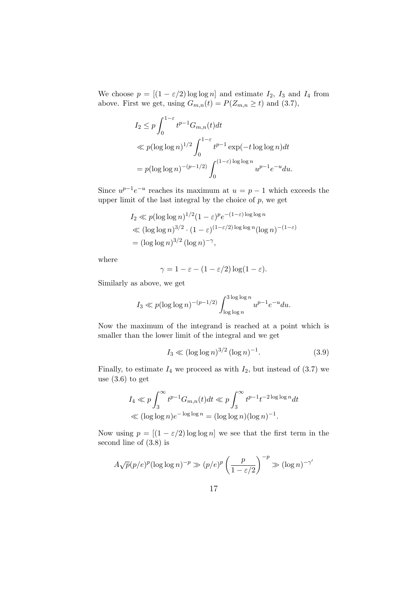We choose  $p = [(1 - \varepsilon/2) \log \log n]$  and estimate  $I_2$ ,  $I_3$  and  $I_4$  from above. First we get, using  $G_{m,n}(t) = P(Z_{m,n} \geq t)$  and (3.7),

$$
I_2 \le p \int_0^{1-\varepsilon} t^{p-1} G_{m,n}(t) dt
$$
  
\$\ll p(\log \log n)^{1/2} \int\_0^{1-\varepsilon} t^{p-1} \exp(-t \log \log n) dt\$  
= p(\log \log n)^{-(p-1/2)} \int\_0^{(1-\varepsilon) \log \log n} u^{p-1} e^{-u} du.

Since  $u^{p-1}e^{-u}$  reaches its maximum at  $u = p-1$  which exceeds the upper limit of the last integral by the choice of *p*, we get

$$
I_2 \ll p(\log \log n)^{1/2} (1 - \varepsilon)^p e^{-(1-\varepsilon)\log \log n}
$$
  
\$\ll (\log \log n)^{3/2} \cdot (1 - \varepsilon)^{(1-\varepsilon/2)\log \log n} (\log n)^{-(1-\varepsilon)}  
= 
$$
(\log \log n)^{3/2} (\log n)^{-\gamma},
$$

where

$$
\gamma = 1 - \varepsilon - (1 - \varepsilon/2) \log(1 - \varepsilon).
$$

Similarly as above, we get

$$
I_3 \ll p(\log \log n)^{-(p-1/2)} \int_{\log \log n}^{3 \log \log n} u^{p-1} e^{-u} du.
$$

Now the maximum of the integrand is reached at a point which is smaller than the lower limit of the integral and we get

$$
I_3 \ll (\log \log n)^{3/2} (\log n)^{-1}.
$$
 (3.9)

Finally, to estimate  $I_4$  we proceed as with  $I_2$ , but instead of  $(3.7)$  we use  $(3.6)$  to get

$$
I_4 \ll p \int_3^{\infty} t^{p-1} G_{m,n}(t) dt \ll p \int_3^{\infty} t^{p-1} t^{-2 \log \log n} dt
$$
  

$$
\ll (\log \log n) e^{-\log \log n} = (\log \log n)(\log n)^{-1}.
$$

Now using  $p = [(1 - \varepsilon/2) \log \log n]$  we see that the first term in the second line of (3.8) is

$$
A\sqrt{p}(p/e)^p(\log\log n)^{-p} \gg (p/e)^p\left(\frac{p}{1-\varepsilon/2}\right)^{-p} \gg (\log n)^{-\gamma'}
$$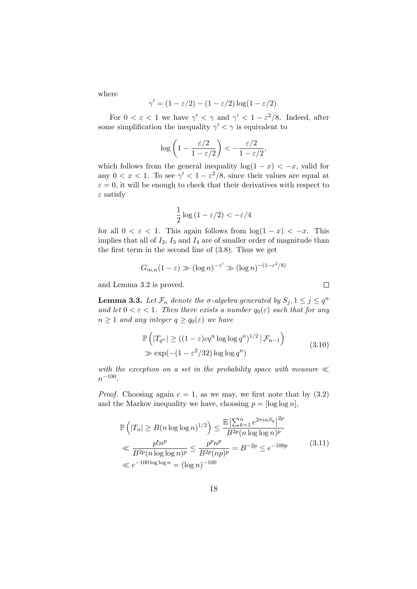where

$$
\gamma' = (1 - \varepsilon/2) - (1 - \varepsilon/2) \log(1 - \varepsilon/2).
$$

For  $0 < \varepsilon < 1$  we have  $\gamma' < \gamma$  and  $\gamma' < 1 - \varepsilon^2/8$ . Indeed, after some simplification the inequality  $\gamma' < \gamma$  is equivalent to

$$
\log\left(1-\frac{\varepsilon/2}{1-\varepsilon/2}\right)<-\frac{\varepsilon/2}{1-\varepsilon/2},
$$

which follows from the general inequality  $\log(1 - x) < -x$ , valid for any  $0 < x < 1$ . To see  $\gamma' < 1 - \varepsilon^2/8$ , since their values are equal at  $\varepsilon = 0$ , it will be enough to check that their derivatives with respect to *ε* satisfy

$$
\frac{1}{2}\log\left(1-\varepsilon/2\right) < -\varepsilon/4
$$

for all  $0 < \varepsilon < 1$ . This again follows from  $\log(1-x) < -x$ . This implies that all of  $I_2$ ,  $I_3$  and  $I_4$  are of smaller order of magnitude than the first term in the second line of (3.8). Thus we get

$$
G_{m,n}(1-\varepsilon) \gg (\log n)^{-\gamma'} \gg (\log n)^{-(1-\varepsilon^2/8)}
$$

and Lemma 3.2 is proved.

**Lemma 3.3.** Let  $\mathcal{F}_n$  denote the  $\sigma$ -algebra generated by  $S_j, 1 \leq j \leq q^n$ *and let*  $0 < \varepsilon < 1$ *. Then there exists a number*  $q_0(\varepsilon)$  *such that for any*  $n \geq 1$  *and any integer*  $q \geq q_0(\varepsilon)$  *we have* 

$$
\mathbb{P}\left(|T_{q^n}| \geq ((1-\varepsilon)cq^n \log \log q^n)^{1/2} | \mathcal{F}_{n-1}\right)
$$
  
\n
$$
\gg \exp(-(1-\varepsilon^2/32) \log \log q^n)
$$
\n(3.10)

*with the exception on a set in the probability space with measure ≪ n −*100 *.*

*Proof.* Choosing again  $c = 1$ , as we may, we first note that by  $(3.2)$ and the Markov inequality we have, choosing  $p = \log \log n$ ,

$$
\mathbb{P}\left(|T_n| \geq B(n\log\log n)^{1/2}\right) \leq \frac{\mathbb{E}\left|\sum_{k=1}^n e^{2\pi i \alpha S_k}\right|^{2p}}{B^{2p}(n\log\log n)^p} \n\ll \frac{p!n^p}{B^{2p}(n\log\log n)^p} \leq \frac{p^p n^p}{B^{2p}(np)^p} = B^{-2p} \leq e^{-100p} \tag{3.11}
$$
\n
$$
\ll e^{-100\log\log n} = (\log n)^{-100}
$$

 $\Box$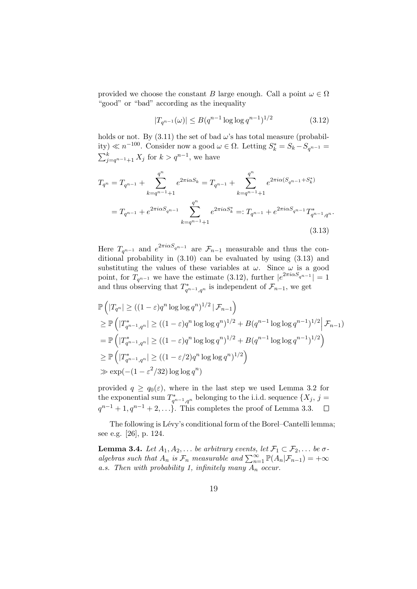provided we choose the constant *B* large enough. Call a point  $\omega \in \Omega$ "good" or "bad" according as the inequality

$$
|T_{q^{n-1}}(\omega)| \le B(q^{n-1}\log\log q^{n-1})^{1/2}
$$
\n(3.12)

holds or not. By  $(3.11)$  the set of bad  $\omega$ 's has total measure (probability) ≪ *n*<sup>-100</sup>. Consider now a good  $ω ∈ Ω$ . Letting  $S_k^* = S_k - S_{q^{n-1}} =$  $\sum_{j=q^{n-1}+1}^{k} X_j$  for  $k > q^{n-1}$ , we have

$$
T_{q^n} = T_{q^{n-1}} + \sum_{k=q^{n-1}+1}^{q^n} e^{2\pi i \alpha S_k} = T_{q^{n-1}} + \sum_{k=q^{n-1}+1}^{q^n} e^{2\pi i \alpha (S_{q^{n-1}} + S_k^*)}
$$
  
=  $T_{q^{n-1}} + e^{2\pi i \alpha S_{q^{n-1}}} \sum_{k=q^{n-1}+1}^{q^n} e^{2\pi i \alpha S_k^*} =: T_{q^{n-1}} + e^{2\pi i \alpha S_{q^{n-1}}} T_{q^{n-1},q^n}^*.$   
(3.13)

Here  $T_{q^{n-1}}$  and  $e^{2\pi i \alpha S_{q^{n-1}}}$  are  $\mathcal{F}_{n-1}$  measurable and thus the conditional probability in (3.10) can be evaluated by using (3.13) and substituting the values of these variables at  $\omega$ . Since  $\omega$  is a good point, for  $\overline{T}_{q^{n-1}}$  we have the estimate (3.12), further  $|e^{2\pi i \alpha S_{q^{n-1}}}| = 1$ and thus observing that  $T_{q^{n-1},q^n}^*$  is independent of  $\mathcal{F}_{n-1}$ , we get

$$
\mathbb{P}\left(|T_{q^n}| \ge ((1-\varepsilon)q^n \log \log q^n)^{1/2} | \mathcal{F}_{n-1}\right)
$$
\n
$$
\ge \mathbb{P}\left(|T_{q^{n-1},q^n}| \ge ((1-\varepsilon)q^n \log \log q^n)^{1/2} + B(q^{n-1} \log \log q^{n-1})^{1/2} | \mathcal{F}_{n-1}\right)
$$
\n
$$
= \mathbb{P}\left(|T_{q^{n-1},q^n}^*| \ge ((1-\varepsilon)q^n \log \log q^n)^{1/2} + B(q^{n-1} \log \log q^{n-1})^{1/2}\right)
$$
\n
$$
\ge \mathbb{P}\left(|T_{q^{n-1},q^n}^*| \ge ((1-\varepsilon/2)q^n \log \log q^n)^{1/2}\right)
$$
\n
$$
\gg \exp(-(1-\varepsilon^2/32) \log \log q^n)
$$

provided  $q \geq q_0(\varepsilon)$ , where in the last step we used Lemma 3.2 for the exponential sum  $T^*_{q^{n-1},q^n}$  belonging to the i.i.d. sequence  $\{X_j, j =$  $q^{n-1} + 1, q^{n-1} + 2, \ldots$ }. This completes the proof of Lemma 3.3.  $\Box$ 

The following is Lévy's conditional form of the Borel–Cantelli lemma; see e.g. [26], p. 124.

**Lemma 3.4.** *Let*  $A_1, A_2, \ldots$  *be arbitrary events, let*  $\mathcal{F}_1 \subset \mathcal{F}_2, \ldots$  *be*  $\sigma$ *algebras such that*  $A_n$  *is*  $\mathcal{F}_n$  *measurable and*  $\sum_{n=1}^{\infty} \mathbb{P}(A_n | \mathcal{F}_{n-1}) = +\infty$ *a.s. Then with probability 1, infinitely many A<sup>n</sup> occur.*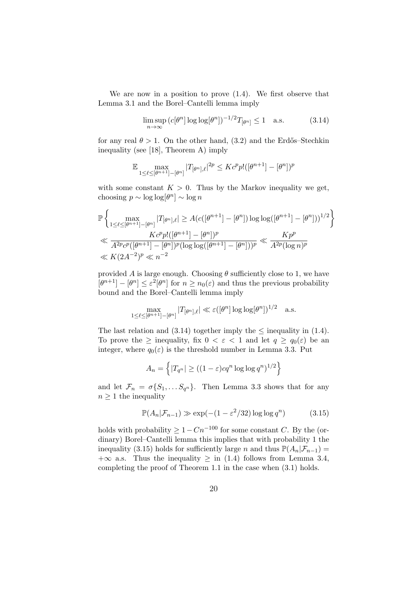We are now in a position to prove (1.4). We first observe that Lemma 3.1 and the Borel–Cantelli lemma imply

$$
\limsup_{n \to \infty} \left( c[\theta^n] \log \log[\theta^n] \right)^{-1/2} T_{[\theta^n]} \le 1 \quad \text{a.s.} \tag{3.14}
$$

for any real  $\theta > 1$ . On the other hand, (3.2) and the Erdős–Stechkin inequality (see [18], Theorem A) imply

$$
\mathbb{E} \max_{1 \le \ell \le [\theta^{n+1}]-[\theta^n]} |T_{[\theta^n],\ell}|^{2p} \le Kc^p p!([\theta^{n+1}]-[\theta^n])^p
$$

with some constant  $K > 0$ . Thus by the Markov inequality we get, choosing  $p \sim \log \log(\theta^n) \sim \log n$ 

$$
\mathbb{P}\left\{\max_{1 \leq \ell \leq [\theta^{n+1}]-[\theta^n]} |T_{[\theta^n],\ell}| \geq A(c([\theta^{n+1}]-[\theta^n])\log\log([\theta^{n+1}]-[\theta^n]))^{1/2}\right\}
$$
  

$$
\ll \frac{Kc^p p!([\theta^{n+1}]-[\theta^n])^p}{A^{2p}c^p([\theta^{n+1}]-[\theta^n])^p(\log\log([\theta^{n+1}]-[\theta^n]))^p} \ll \frac{Kp^p}{A^{2p}(\log n)^p}
$$
  

$$
\ll K(2A^{-2})^p \ll n^{-2}
$$

provided *A* is large enough. Choosing  $\theta$  sufficiently close to 1, we have  $[\theta^{n+1}]$  *−*  $[\theta^n] \leq \varepsilon^2[\theta^n]$  for  $n \geq n_0(\varepsilon)$  and thus the previous probability bound and the Borel–Cantelli lemma imply

$$
\max_{1 \leq \ell \leq [\theta^{n+1}]-[\theta^n]} |T_{[\theta^n],\ell}| \ll \varepsilon([\theta^n] \log \log [\theta^n])^{1/2} \quad \text{a.s.}
$$

The last relation and  $(3.14)$  together imply the  $\leq$  inequality in  $(1.4)$ . To prove the  $\geq$  inequality, fix  $0 < \varepsilon < 1$  and let  $q \geq q_0(\varepsilon)$  be an integer, where  $q_0(\varepsilon)$  is the threshold number in Lemma 3.3. Put

$$
A_n = \left\{ |T_{q^n}| \ge ((1 - \varepsilon)cq^n \log \log q^n)^{1/2} \right\}
$$

and let  $\mathcal{F}_n = \sigma\{S_1, \ldots S_{q^n}\}.$  Then Lemma 3.3 shows that for any  $n \geq 1$  the inequality

$$
\mathbb{P}(A_n|\mathcal{F}_{n-1}) \gg \exp(-(1-\varepsilon^2/32)\log\log q^n) \tag{3.15}
$$

holds with probability  $\geq 1 - Cn^{-100}$  for some constant *C*. By the (ordinary) Borel–Cantelli lemma this implies that with probability 1 the inequality (3.15) holds for sufficiently large *n* and thus  $\mathbb{P}(A_n|\mathcal{F}_{n-1}) =$  $+\infty$  a.s. Thus the inequality  $\geq$  in (1.4) follows from Lemma 3.4, completing the proof of Theorem 1.1 in the case when (3.1) holds.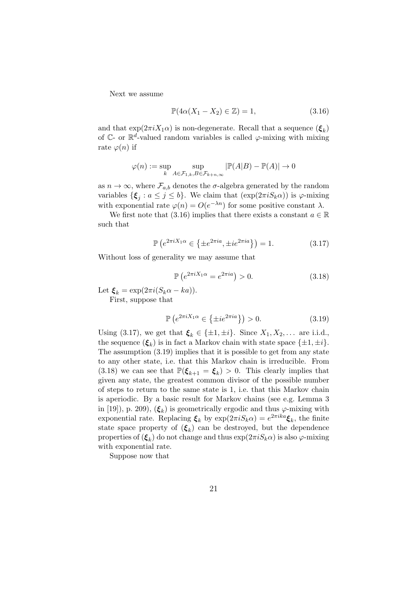Next we assume

$$
\mathbb{P}(4\alpha(X_1 - X_2) \in \mathbb{Z}) = 1,\tag{3.16}
$$

and that  $\exp(2\pi i X_1 \alpha)$  is non-degenerate. Recall that a sequence  $(\boldsymbol{\xi}_k)$ of  $\mathbb{C}$ - or  $\mathbb{R}^d$ -valued random variables is called  $\varphi$ -mixing with mixing rate  $\varphi(n)$  if

$$
\varphi(n) := \sup_{k} \sup_{A \in \mathcal{F}_{1,k}, B \in \mathcal{F}_{k+n,\infty}} |\mathbb{P}(A|B) - \mathbb{P}(A)| \to 0
$$

as  $n \to \infty$ , where  $\mathcal{F}_{a,b}$  denotes the *σ*-algebra generated by the random variables  $\{\boldsymbol{\xi}_j : a \leq j \leq b\}$ . We claim that  $(\exp(2\pi i S_k \alpha))$  is  $\varphi$ -mixing with exponential rate  $\varphi(n) = O(e^{-\lambda n})$  for some positive constant  $\lambda$ .

We first note that (3.16) implies that there exists a constant  $a \in \mathbb{R}$ such that

$$
\mathbb{P}\left(e^{2\pi i X_1 \alpha} \in \{\pm e^{2\pi i a}, \pm i e^{2\pi i a}\}\right) = 1. \tag{3.17}
$$

Without loss of generality we may assume that

$$
\mathbb{P}\left(e^{2\pi i X_1 \alpha} = e^{2\pi i a}\right) > 0. \tag{3.18}
$$

Let  $\xi_k = \exp(2\pi i(S_k\alpha - ka)).$ 

First, suppose that

$$
\mathbb{P}\left(e^{2\pi i X_1 \alpha} \in \{\pm i e^{2\pi i a}\}\right) > 0. \tag{3.19}
$$

Using (3.17), we get that  $\xi_k \in \{\pm 1, \pm i\}$ . Since  $X_1, X_2, \ldots$  are i.i.d., the sequence  $(\xi_k)$  is in fact a Markov chain with state space  $\{\pm 1, \pm i\}$ . The assumption (3.19) implies that it is possible to get from any state to any other state, i.e. that this Markov chain is irreducible. From (3.18) we can see that  $\mathbb{P}(\xi_{k+1} = \xi_k) > 0$ . This clearly implies that given any state, the greatest common divisor of the possible number of steps to return to the same state is 1, i.e. that this Markov chain is aperiodic. By a basic result for Markov chains (see e.g. Lemma 3 in [19]), p. 209),  $(\xi_k)$  is geometrically ergodic and thus  $\varphi$ -mixing with exponential rate. Replacing  $\xi_k$  by  $\exp(2\pi i S_k \alpha) = e^{2\pi i k a} \xi_k$ , the finite state space property of (*ξ<sup>k</sup>* ) can be destroyed, but the dependence properties of  $(\boldsymbol{\xi}_k)$  do not change and thus  $\exp(2\pi i S_k \alpha)$  is also  $\varphi$ -mixing with exponential rate.

Suppose now that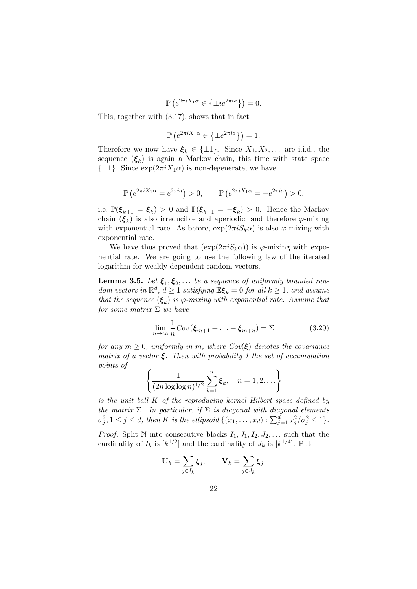$$
\mathbb{P}\left(e^{2\pi i X_1 \alpha} \in \{\pm i e^{2\pi i a}\}\right) = 0.
$$

This, together with (3.17), shows that in fact

$$
\mathbb{P}\left(e^{2\pi i X_1 \alpha} \in \{\pm e^{2\pi i a}\}\right) = 1.
$$

Therefore we now have  $\xi_k \in {\pm 1}$ . Since  $X_1, X_2, \ldots$  are i.i.d., the sequence  $(\xi_k)$  is again a Markov chain, this time with state space  ${\pm 1}$ . Since  $\exp(2\pi i X_1 \alpha)$  is non-degenerate, we have

$$
\mathbb{P}\left(e^{2\pi i X_1 \alpha} = e^{2\pi i a}\right) > 0, \qquad \mathbb{P}\left(e^{2\pi i X_1 \alpha} = -e^{2\pi i a}\right) > 0,
$$

i.e.  $\mathbb{P}(\boldsymbol{\xi}_{k+1} = \boldsymbol{\xi}_k) > 0$  and  $\mathbb{P}(\boldsymbol{\xi}_{k+1} = -\boldsymbol{\xi}_k) > 0$ . Hence the Markov chain  $(\xi_k)$  is also irreducible and aperiodic, and therefore  $\varphi$ -mixing with exponential rate. As before,  $\exp(2\pi i S_k \alpha)$  is also  $\varphi$ -mixing with exponential rate.

We have thus proved that  $(\exp(2\pi i S_k \alpha))$  is  $\varphi$ -mixing with exponential rate. We are going to use the following law of the iterated logarithm for weakly dependent random vectors.

**Lemma 3.5.** *Let*  $\xi_1, \xi_2, \ldots$  *be a sequence of uniformly bounded random vectors in*  $\mathbb{R}^d$ ,  $d \geq 1$  *satisfying*  $\mathbb{E} \boldsymbol{\xi}_k = 0$  *for all*  $k \geq 1$ *, and assume that the sequence*  $(\xi_k)$  *is*  $\varphi$ *-mixing with exponential rate. Assume that for some matrix* Σ *we have*

$$
\lim_{n \to \infty} \frac{1}{n} Cov(\boldsymbol{\xi}_{m+1} + \dots + \boldsymbol{\xi}_{m+n}) = \Sigma
$$
\n(3.20)

*for any*  $m \geq 0$ *, uniformly in*  $m$ *, where Cov*( $\xi$ ) *denotes the covariance matrix of a vector ξ. Then with probability 1 the set of accumulation points of*

$$
\left\{ \frac{1}{(2n \log \log n)^{1/2}} \sum_{k=1}^{n} \xi_k, \quad n = 1, 2, \dots \right\}
$$

*is the unit ball K of the reproducing kernel Hilbert space defined by the matrix*  $\Sigma$ *. In particular, if*  $\Sigma$  *is diagonal with diagonal elements*  $\sigma_j^2, 1 \leq j \leq d$ , then K is the ellipsoid  $\{(x_1,\ldots,x_d): \sum_{j=1}^d x_j^2/\sigma_j^2 \leq 1\}.$ 

*Proof.* Split N into consecutive blocks  $I_1, J_1, I_2, J_2, \ldots$  such that the cardinality of  $I_k$  is  $[k^{1/2}]$  and the cardinality of  $J_k$  is  $[k^{1/4}]$ . Put

$$
\mathbf{U}_k = \sum_{j \in I_k} \boldsymbol{\xi}_j, \qquad \mathbf{V}_k = \sum_{j \in J_k} \boldsymbol{\xi}_j.
$$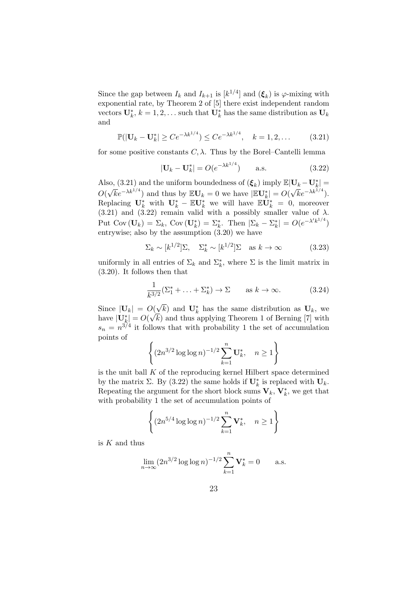Since the gap between  $I_k$  and  $I_{k+1}$  is  $[k^{1/4}]$  and  $(\xi_k)$  is  $\varphi$ -mixing with exponential rate, by Theorem 2 of [5] there exist independent random vectors  $\mathbf{U}_k^*$ ,  $k = 1, 2, \dots$  such that  $\mathbf{U}_k^*$  has the same distribution as  $\mathbf{U}_k$ and

$$
\mathbb{P}(|\mathbf{U}_k - \mathbf{U}_k^*| \ge Ce^{-\lambda k^{1/4}}) \le Ce^{-\lambda k^{1/4}}, \quad k = 1, 2, \dots \tag{3.21}
$$

for some positive constants  $C, \lambda$ . Thus by the Borel–Cantelli lemma

$$
|\mathbf{U}_k - \mathbf{U}_k^*| = O(e^{-\lambda k^{1/4}})
$$
 a.s. (3.22)

Also, (3.21) and the uniform boundedness of  $(\boldsymbol{\xi}_k)$  imply  $\mathbb{E}|\mathbf{U}_k - \mathbf{U}_k^*|$ *O*(  $\sqrt{k}e^{-\lambda k^{1/4}}$  and thus by  $\mathbb{E} \mathbf{U}_k = 0$  we have  $|\mathbb{E} \mathbf{U}_k^*| = O(\lambda)$  $\sqrt{k}e^{-\lambda k^{1/4}}$ . Replacing  $\mathbf{U}_k^*$  with  $\mathbf{U}_k^* - \mathbb{E} \mathbf{U}_k^*$  we will have  $\mathbb{E} \mathbf{U}_k^* = 0$ , moreover  $(3.21)$  and  $(3.22)$  remain valid with a possibly smaller value of  $\lambda$ . Put Cov  $(\mathbf{U}_k) = \Sigma_k$ , Cov  $(\mathbf{U}_k^*) = \Sigma_k^*$ . Then  $|\Sigma_k - \Sigma_k^*| = O(e^{-\lambda' k^{1/4}})$ entrywise; also by the assumption (3.20) we have

$$
\Sigma_k \sim [k^{1/2}] \Sigma, \quad \Sigma_k^* \sim [k^{1/2}] \Sigma \quad \text{as } k \to \infty \tag{3.23}
$$

uniformly in all entries of  $\Sigma_k$  and  $\Sigma_k^*$ , where  $\Sigma$  is the limit matrix in (3.20). It follows then that

$$
\frac{1}{k^{3/2}}(\Sigma_1^* + \ldots + \Sigma_k^*) \to \Sigma \qquad \text{as } k \to \infty. \tag{3.24}
$$

Since  $|\mathbf{U}_k| = O(\mathbf{U}_k)$  $\sqrt{k}$ ) and **U**<sup>\*</sup><sub>*k*</sub> has the same distribution as **U**<sub>*k*</sub>, we have  $|\mathbf{U}_k^*| = O($ *√ k*) and thus applying Theorem 1 of Berning [7] with  $s_n = n^{3/4}$  it follows that with probability 1 the set of accumulation points of

$$
\left\{ (2n^{3/2} \log \log n)^{-1/2} \sum_{k=1}^{n} \mathbf{U}_{k}^{*}, \quad n \ge 1 \right\}
$$

is the unit ball *K* of the reproducing kernel Hilbert space determined by the matrix  $\Sigma$ . By (3.22) the same holds if  $\mathbf{U}_k^*$  is replaced with  $\mathbf{U}_k$ . Repeating the argument for the short block sums  $\mathbf{V}_k$ ,  $\mathbf{V}_k^*$ , we get that with probability 1 the set of accumulation points of

$$
\left\{ (2n^{5/4} \log \log n)^{-1/2} \sum_{k=1}^{n} \mathbf{V}_{k}^{*}, \quad n \ge 1 \right\}
$$

is *K* and thus

$$
\lim_{n \to \infty} (2n^{3/2} \log \log n)^{-1/2} \sum_{k=1}^{n} \mathbf{V}_{k}^{*} = 0 \quad \text{a.s.}
$$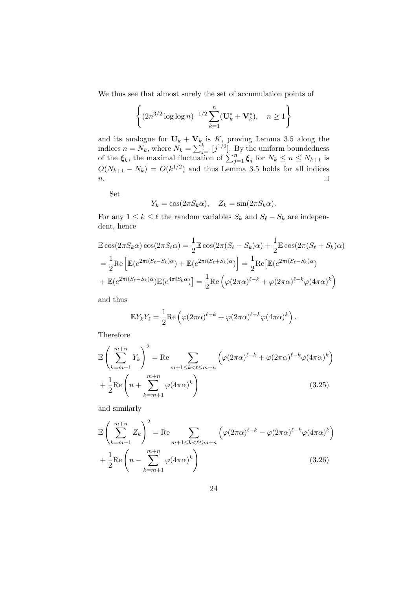We thus see that almost surely the set of accumulation points of

$$
\left\{ (2n^{3/2} \log \log n)^{-1/2} \sum_{k=1}^{n} (\mathbf{U}_{k}^{*} + \mathbf{V}_{k}^{*}), \quad n \ge 1 \right\}
$$

and its analogue for  $\mathbf{U}_k + \mathbf{V}_k$  is K, proving Lemma 3.5 along the indices  $n = N_k$ , where  $N_k = \sum_{j=1}^k [j^{1/2}]$ . By the uniform boundedness of the  $\xi_k$ , the maximal fluctuation of  $\sum_{j=1}^n \xi_j$  for  $N_k \leq n \leq N_{k+1}$  is  $O(N_{k+1} - N_k) = O(k^{1/2})$  and thus Lemma 3.5 holds for all indices *n*.  $\Box$ 

Set

$$
Y_k = \cos(2\pi S_k \alpha), \quad Z_k = \sin(2\pi S_k \alpha).
$$

For any  $1 \leq k \leq \ell$  the random variables  $S_k$  and  $S_\ell - S_k$  are independent, hence

$$
\mathbb{E}\cos(2\pi S_k\alpha)\cos(2\pi S_\ell\alpha) = \frac{1}{2}\mathbb{E}\cos(2\pi(S_\ell - S_k)\alpha) + \frac{1}{2}\mathbb{E}\cos(2\pi(S_\ell + S_k)\alpha)
$$

$$
= \frac{1}{2}\text{Re}\left[\mathbb{E}(e^{2\pi i(S_\ell - S_k)\alpha}) + \mathbb{E}(e^{2\pi i(S_\ell + S_k)\alpha})\right] = \frac{1}{2}\text{Re}\left[\mathbb{E}(e^{2\pi i(S_\ell - S_k)\alpha}) + \mathbb{E}(e^{2\pi i(S_\ell - S_k)\alpha})\mathbb{E}(e^{4\pi iS_k\alpha})\right] = \frac{1}{2}\text{Re}\left(\varphi(2\pi\alpha)^{\ell - k} + \varphi(2\pi\alpha)^{\ell - k}\varphi(4\pi\alpha)^k\right)
$$

and thus

$$
\mathbb{E}Y_k Y_\ell = \frac{1}{2} \text{Re}\left(\varphi(2\pi\alpha)^{\ell-k} + \varphi(2\pi\alpha)^{\ell-k} \varphi(4\pi\alpha)^k\right).
$$

Therefore

$$
\mathbb{E}\left(\sum_{k=m+1}^{m+n} Y_k\right)^2 = \text{Re}\sum_{m+1 \le k < \ell \le m+n} \left(\varphi(2\pi\alpha)^{\ell-k} + \varphi(2\pi\alpha)^{\ell-k}\varphi(4\pi\alpha)^k\right) + \frac{1}{2}\text{Re}\left(n + \sum_{k=m+1}^{m+n} \varphi(4\pi\alpha)^k\right) \tag{3.25}
$$

and similarly

$$
\mathbb{E}\left(\sum_{k=m+1}^{m+n} Z_k\right)^2 = \text{Re}\sum_{m+1 \le k < \ell \le m+n} \left(\varphi(2\pi\alpha)^{\ell-k} - \varphi(2\pi\alpha)^{\ell-k}\varphi(4\pi\alpha)^k\right) + \frac{1}{2}\text{Re}\left(n - \sum_{k=m+1}^{m+n} \varphi(4\pi\alpha)^k\right) \tag{3.26}
$$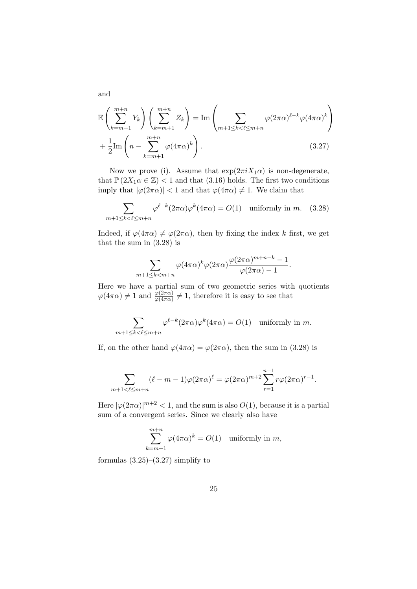$$
\mathbb{E}\left(\sum_{k=m+1}^{m+n} Y_k\right)\left(\sum_{k=m+1}^{m+n} Z_k\right) = \text{Im}\left(\sum_{m+1 \le k < \ell \le m+n} \varphi(2\pi\alpha)^{\ell-k} \varphi(4\pi\alpha)^k\right) + \frac{1}{2}\text{Im}\left(n - \sum_{k=m+1}^{m+n} \varphi(4\pi\alpha)^k\right). \tag{3.27}
$$

Now we prove (i). Assume that  $\exp(2\pi i X_1 \alpha)$  is non-degenerate, that  $\mathbb{P}(2X_1\alpha \in \mathbb{Z})$  < 1 and that (3.16) holds. The first two conditions imply that  $|\varphi(2\pi\alpha)| < 1$  and that  $\varphi(4\pi\alpha) \neq 1$ . We claim that

$$
\sum_{m+1 \le k < \ell \le m+n} \varphi^{\ell-k}(2\pi\alpha)\varphi^k(4\pi\alpha) = O(1) \quad \text{uniformly in } m. \tag{3.28}
$$

Indeed, if  $\varphi(4\pi\alpha) \neq \varphi(2\pi\alpha)$ , then by fixing the index *k* first, we get that the sum in (3.28) is

$$
\sum_{m+1\leq k
$$

Here we have a partial sum of two geometric series with quotients  $\varphi(4\pi\alpha) \neq 1$  and  $\frac{\varphi(2\pi\alpha)}{\varphi(4\pi\alpha)} \neq 1$ , therefore it is easy to see that

$$
\sum_{m+1 \le k < \ell \le m+n} \varphi^{\ell-k}(2\pi\alpha)\varphi^k(4\pi\alpha) = O(1) \quad \text{uniformly in } m.
$$

If, on the other hand  $\varphi(4\pi\alpha) = \varphi(2\pi\alpha)$ , then the sum in (3.28) is

$$
\sum_{m+1 < \ell \le m+n} (\ell - m - 1)\varphi(2\pi\alpha)^{\ell} = \varphi(2\pi\alpha)^{m+2} \sum_{r=1}^{n-1} r\varphi(2\pi\alpha)^{r-1}.
$$

Here  $|\varphi(2\pi\alpha)|^{m+2} < 1$ , and the sum is also  $O(1)$ , because it is a partial sum of a convergent series. Since we clearly also have

$$
\sum_{k=m+1}^{m+n} \varphi(4\pi\alpha)^k = O(1) \quad \text{uniformly in } m,
$$

formulas  $(3.25)$ – $(3.27)$  simplify to

and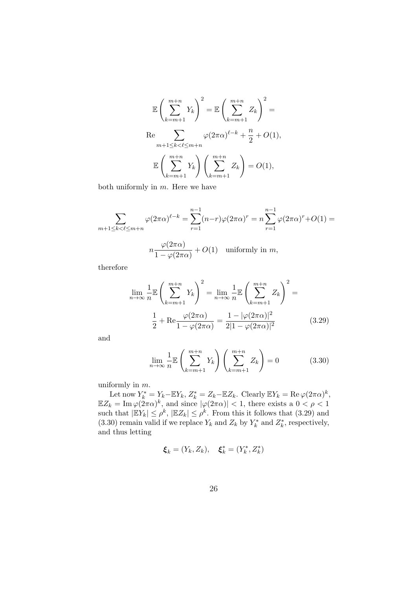$$
\mathbb{E}\left(\sum_{k=m+1}^{m+n} Y_k\right)^2 = \mathbb{E}\left(\sum_{k=m+1}^{m+n} Z_k\right)^2 =
$$
  
Re 
$$
\sum_{m+1 \le k < \ell \le m+n} \varphi(2\pi\alpha)^{\ell-k} + \frac{n}{2} + O(1),
$$

$$
\mathbb{E}\left(\sum_{k=m+1}^{m+n} Y_k\right) \left(\sum_{k=m+1}^{m+n} Z_k\right) = O(1),
$$

both uniformly in *m*. Here we have

$$
\sum_{m+1 \le k < \ell \le m+n} \varphi(2\pi\alpha)^{\ell-k} = \sum_{r=1}^{n-1} (n-r)\varphi(2\pi\alpha)^r = n \sum_{r=1}^{n-1} \varphi(2\pi\alpha)^r + O(1) =
$$
  

$$
n \frac{\varphi(2\pi\alpha)}{1 - \varphi(2\pi\alpha)} + O(1) \quad \text{uniformly in } m,
$$

 $\frac{\varphi(\text{2}\pi\alpha)}{1-\varphi(2\pi\alpha)}+O(1)$  uniformly in *m*,

therefore

$$
\lim_{n \to \infty} \frac{1}{n} \mathbb{E} \left( \sum_{k=m+1}^{m+n} Y_k \right)^2 = \lim_{n \to \infty} \frac{1}{n} \mathbb{E} \left( \sum_{k=m+1}^{m+n} Z_k \right)^2 =
$$

$$
\frac{1}{2} + \text{Re} \frac{\varphi(2\pi\alpha)}{1 - \varphi(2\pi\alpha)} = \frac{1 - |\varphi(2\pi\alpha)|^2}{2|1 - \varphi(2\pi\alpha)|^2}
$$
(3.29)

and

$$
\lim_{n \to \infty} \frac{1}{n} \mathbb{E}\left(\sum_{k=m+1}^{m+n} Y_k\right) \left(\sum_{k=m+1}^{m+n} Z_k\right) = 0 \tag{3.30}
$$

uniformly in *m*.

Let now  $Y_k^* = Y_k - \mathbb{E}Y_k$ ,  $Z_k^* = Z_k - \mathbb{E}Z_k$ . Clearly  $\mathbb{E}Y_k = \text{Re }\varphi(2\pi\alpha)^k$ ,  $\mathbb{E}Z_k = \text{Im }\varphi(2\pi\alpha)^k$ , and since  $|\varphi(2\pi\alpha)| < 1$ , there exists a  $0 < \rho < 1$ such that  $|\mathbb{E}Y_k| \leq \rho^k$ ,  $|\mathbb{E}Z_k| \leq \rho^k$ . From this it follows that (3.29) and (3.30) remain valid if we replace  $Y_k$  and  $Z_k$  by  $Y_k^*$  and  $Z_k^*$ , respectively, and thus letting

$$
\xi_k = (Y_k, Z_k), \xi_k^* = (Y_k^*, Z_k^*)
$$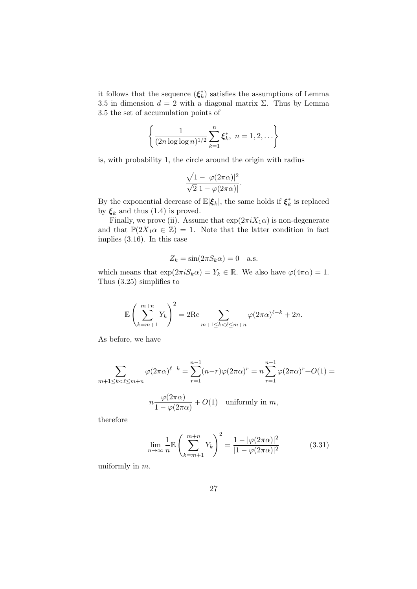it follows that the sequence  $(\xi_k^*)$  satisfies the assumptions of Lemma 3.5 in dimension  $d = 2$  with a diagonal matrix  $\Sigma$ . Thus by Lemma 3.5 the set of accumulation points of

$$
\left\{ \frac{1}{(2n \log \log n)^{1/2}} \sum_{k=1}^{n} \xi_k^*, \ n = 1, 2, \dots \right\}
$$

is, with probability 1, the circle around the origin with radius

$$
\frac{\sqrt{1-|\varphi(2\pi\alpha)|^2}}{\sqrt{2}|1-\varphi(2\pi\alpha)|}.
$$

By the exponential decrease of  $\mathbb{E}|\xi_k|$ , the same holds if  $\xi_k^*$  is replaced by  $\xi_k$  and thus (1.4) is proved.

Finally, we prove (ii). Assume that  $\exp(2\pi i X_1 \alpha)$  is non-degenerate and that  $\mathbb{P}(2X_1\alpha \in \mathbb{Z}) = 1$ . Note that the latter condition in fact implies (3.16). In this case

$$
Z_k = \sin(2\pi S_k \alpha) = 0
$$
 a.s.

which means that  $\exp(2\pi i S_k \alpha) = Y_k \in \mathbb{R}$ . We also have  $\varphi(4\pi \alpha) = 1$ . Thus (3.25) simplifies to

$$
\mathbb{E}\left(\sum_{k=m+1}^{m+n} Y_k\right)^2 = 2\text{Re}\sum_{m+1\leq k < \ell \leq m+n} \varphi(2\pi\alpha)^{\ell-k} + 2n.
$$

As before, we have

$$
\sum_{m+1 \le k < \ell \le m+n} \varphi(2\pi\alpha)^{\ell-k} = \sum_{r=1}^{n-1} (n-r)\varphi(2\pi\alpha)^r = n \sum_{r=1}^{n-1} \varphi(2\pi\alpha)^r + O(1) =
$$

$$
n\frac{\varphi(2\pi\alpha)}{1-\varphi(2\pi\alpha)} + O(1) \quad \text{uniformly in } m,
$$

therefore

$$
\lim_{n \to \infty} \frac{1}{n} \mathbb{E} \left( \sum_{k=m+1}^{m+n} Y_k \right)^2 = \frac{1 - |\varphi(2\pi\alpha)|^2}{|1 - \varphi(2\pi\alpha)|^2}
$$
(3.31)

uniformly in *m*.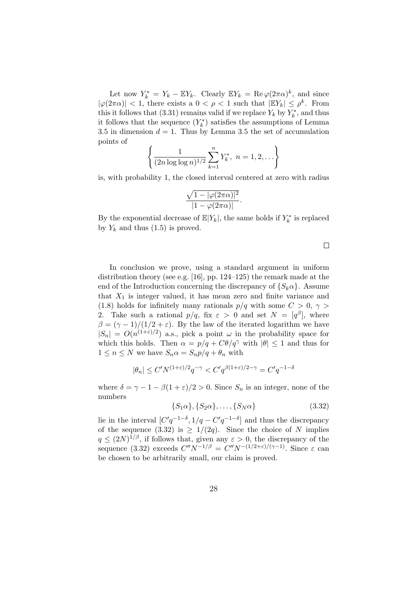Let now  $Y_k^* = Y_k - \mathbb{E}Y_k$ . Clearly  $\mathbb{E}Y_k = \text{Re }\varphi(2\pi\alpha)^k$ , and since  $|\varphi(2\pi\alpha)| < 1$ , there exists a  $0 < \rho < 1$  such that  $|EY_k| \leq \rho^k$ . From this it follows that (3.31) remains valid if we replace  $Y_k$  by  $Y_k^*$ , and thus it follows that the sequence  $(Y_k^*)$  satisfies the assumptions of Lemma 3.5 in dimension  $d = 1$ . Thus by Lemma 3.5 the set of accumulation points of

$$
\left\{ \frac{1}{(2n \log \log n)^{1/2}} \sum_{k=1}^{n} Y_k^*, \ n = 1, 2, \dots \right\}
$$

is, with probability 1, the closed interval centered at zero with radius

$$
\frac{\sqrt{1-|\varphi(2\pi\alpha)|^2}}{|1-\varphi(2\pi\alpha)|}.
$$

By the exponential decrease of  $\mathbb{E}|Y_k|$ , the same holds if  $Y_k^*$  is replaced by  $Y_k$  and thus  $(1.5)$  is proved.

 $\Box$ 

In conclusion we prove, using a standard argument in uniform distribution theory (see e.g. [16], pp. 124–125) the remark made at the end of the Introduction concerning the discrepancy of  ${S_k \alpha}$ . Assume that  $X_1$  is integer valued, it has mean zero and finite variance and (1.8) holds for infinitely many rationals  $p/q$  with some  $C > 0$ ,  $\gamma >$ 2. Take such a rational  $p/q$ , fix  $\varepsilon > 0$  and set  $N = [q^{\beta}]$ , where  $\beta = (\gamma - 1)/(1/2 + \varepsilon)$ . By the law of the iterated logarithm we have  $|S_n| = O(n^{(1+\varepsilon)/2})$  a.s., pick a point  $\omega$  in the probability space for which this holds. Then  $\alpha = p/q + C\theta/q^{\gamma}$  with  $|\theta| \leq 1$  and thus for  $1 \leq n \leq N$  we have  $S_n \alpha = S_n p/q + \theta_n$  with

$$
|\theta_n| \le C' N^{(1+\varepsilon)/2} q^{-\gamma} < C' q^{\beta(1+\varepsilon)/2 - \gamma} = C' q^{-1-\delta}
$$

where  $\delta = \gamma - 1 - \beta(1 + \varepsilon)/2 > 0$ . Since  $S_n$  is an integer, none of the numbers

$$
{S_1\alpha}, {S_2\alpha}, \dots, {S_N\alpha}
$$
 (3.32)

lie in the interval  $[C'q^{-1-\delta}, 1/q - C'q^{-1-\delta}]$  and thus the discrepancy of the sequence  $(3.32)$  is  $\geq 1/(2q)$ . Since the choice of *N* implies  $q \leq (2N)^{1/\beta}$ , if follows that, given any  $\varepsilon > 0$ , the discrepancy of the sequence (3.32) exceeds  $C''N^{-1/\beta} = C''N^{-(1/2+\varepsilon)/(\gamma-1)}$ . Since  $\varepsilon$  can be chosen to be arbitrarily small, our claim is proved.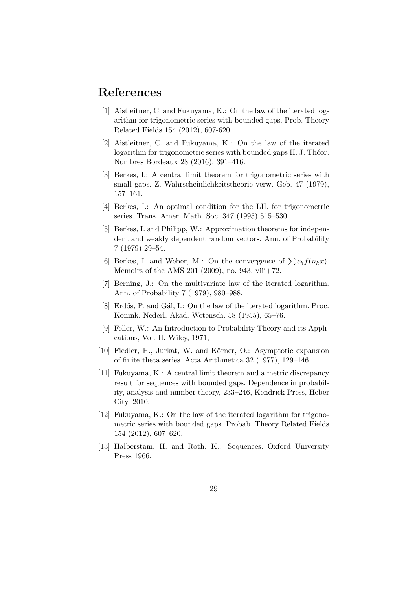# **References**

- [1] Aistleitner, C. and Fukuyama, K.: On the law of the iterated logarithm for trigonometric series with bounded gaps. Prob. Theory Related Fields 154 (2012), 607-620.
- [2] Aistleitner, C. and Fukuyama, K.: On the law of the iterated logarithm for trigonometric series with bounded gaps II. J. Théor. Nombres Bordeaux 28 (2016), 391–416.
- [3] Berkes, I.: A central limit theorem for trigonometric series with small gaps. Z. Wahrscheinlichkeitstheorie verw. Geb. 47 (1979), 157–161.
- [4] Berkes, I.: An optimal condition for the LIL for trigonometric series. Trans. Amer. Math. Soc. 347 (1995) 515–530.
- [5] Berkes, I. and Philipp, W.: Approximation theorems for independent and weakly dependent random vectors. Ann. of Probability 7 (1979) 29–54.
- [6] Berkes, I. and Weber, M.: On the convergence of  $\sum c_k f(n_k x)$ . Memoirs of the AMS 201 (2009), no. 943, viii+72.
- [7] Berning, J.: On the multivariate law of the iterated logarithm. Ann. of Probability 7 (1979), 980–988.
- [8] Erdős, P. and Gál, I.: On the law of the iterated logarithm. Proc. Konink. Nederl. Akad. Wetensch. 58 (1955), 65–76.
- [9] Feller, W.: An Introduction to Probability Theory and its Applications, Vol. II. Wiley, 1971,
- [10] Fiedler, H., Jurkat, W. and Körner, O.: Asymptotic expansion of finite theta series. Acta Arithmetica 32 (1977), 129–146.
- [11] Fukuyama, K.: A central limit theorem and a metric discrepancy result for sequences with bounded gaps. Dependence in probability, analysis and number theory, 233–246, Kendrick Press, Heber City, 2010.
- [12] Fukuyama, K.: On the law of the iterated logarithm for trigonometric series with bounded gaps. Probab. Theory Related Fields 154 (2012), 607–620.
- [13] Halberstam, H. and Roth, K.: Sequences. Oxford University Press 1966.